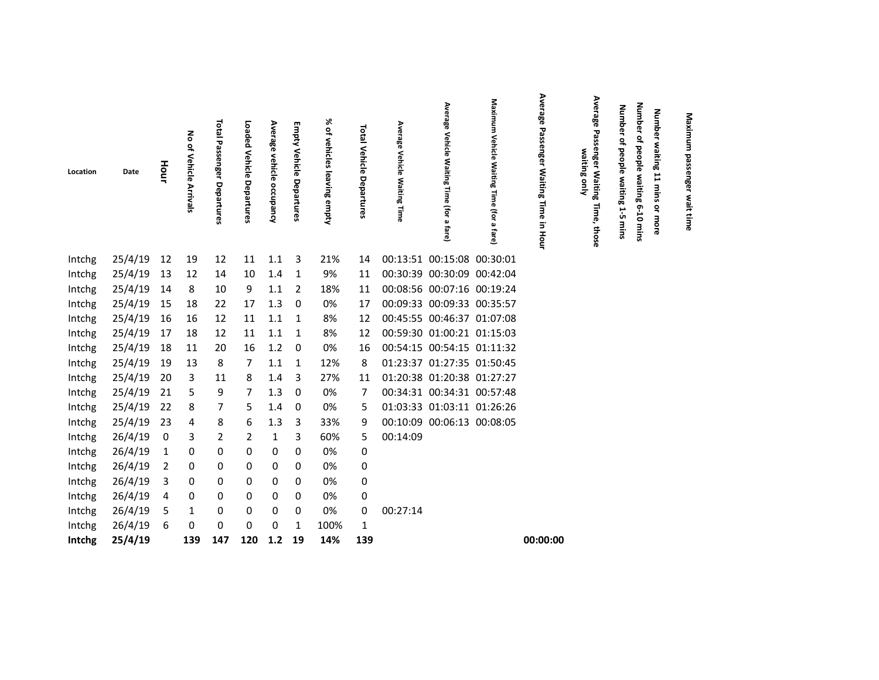| Location | Date    | Hour           | 종<br>of Vehicle Arrivals | Total<br>Passenger<br>Departures | Loaded<br>Vehicle<br>Departures | Average<br>vehicle occupancy | m<br>impty<br>Vehicle<br>Departures | 没<br>of vehicles<br>leaving empty | Total Vehicle Departures | Average<br>Vehicle Waiting Time | Average<br>Vehicle<br>. Waiting<br>Time<br>(for a fare) | Maximum Vehicle Waiting Time (for a fare) | Average<br>Passenger Waiting Time<br>in Hour | Average<br>Passenger Waiting Time,<br>waiting only<br>those | <b>Number</b><br>ዹ<br>people waiting<br>1-5<br>mins | Number of people waiting 6-10 mins | <b>Number</b><br>waiting 11 mins or more | Maximum passenger wait time |
|----------|---------|----------------|--------------------------|----------------------------------|---------------------------------|------------------------------|-------------------------------------|-----------------------------------|--------------------------|---------------------------------|---------------------------------------------------------|-------------------------------------------|----------------------------------------------|-------------------------------------------------------------|-----------------------------------------------------|------------------------------------|------------------------------------------|-----------------------------|
| Intchg   | 25/4/19 | 12             | 19                       | 12                               | 11                              | 1.1                          | $\overline{\mathbf{3}}$             | 21%                               | 14                       |                                 | 00:13:51 00:15:08 00:30:01                              |                                           |                                              |                                                             |                                                     |                                    |                                          |                             |
| Intchg   | 25/4/19 | 13             | 12                       | 14                               | 10                              | 1.4                          | $\overline{1}$                      | 9%                                | 11                       |                                 | 00:30:39 00:30:09 00:42:04                              |                                           |                                              |                                                             |                                                     |                                    |                                          |                             |
| Intchg   | 25/4/19 | 14             | 8                        | 10                               | 9                               | 1.1                          | $\overline{2}$                      | 18%                               | 11                       |                                 | 00:08:56 00:07:16 00:19:24                              |                                           |                                              |                                                             |                                                     |                                    |                                          |                             |
| Intchg   | 25/4/19 | 15             | 18                       | 22                               | 17                              | 1.3                          | - 0                                 | 0%                                | 17                       |                                 | 00:09:33 00:09:33 00:35:57                              |                                           |                                              |                                                             |                                                     |                                    |                                          |                             |
| Intchg   | 25/4/19 | 16             | 16                       | 12                               | 11                              | 1.1                          | $\overline{1}$                      | 8%                                | 12                       |                                 | 00:45:55 00:46:37 01:07:08                              |                                           |                                              |                                                             |                                                     |                                    |                                          |                             |
| Intchg   | 25/4/19 | 17             | 18                       | 12                               | 11                              | 1.1                          | $\overline{1}$                      | 8%                                | 12                       |                                 | 00:59:30 01:00:21 01:15:03                              |                                           |                                              |                                                             |                                                     |                                    |                                          |                             |
| Intchg   | 25/4/19 | 18             | 11                       | 20                               | 16                              | 1.2                          | $\overline{\mathbf{0}}$             | 0%                                | 16                       |                                 | 00:54:15 00:54:15 01:11:32                              |                                           |                                              |                                                             |                                                     |                                    |                                          |                             |
| Intchg   | 25/4/19 | 19             | 13                       | 8                                | 7                               | 1.1                          | 1                                   | 12%                               | 8                        |                                 | 01:23:37 01:27:35 01:50:45                              |                                           |                                              |                                                             |                                                     |                                    |                                          |                             |
| Intchg   | 25/4/19 | 20             | 3                        | 11                               | 8                               | 1.4                          | 3                                   | 27%                               | 11                       |                                 | 01:20:38 01:20:38 01:27:27                              |                                           |                                              |                                                             |                                                     |                                    |                                          |                             |
| Intchg   | 25/4/19 | 21             | 5                        | 9                                | $\overline{7}$                  | 1.3                          | 0                                   | 0%                                | 7                        |                                 | 00:34:31 00:34:31 00:57:48                              |                                           |                                              |                                                             |                                                     |                                    |                                          |                             |
| Intchg   | 25/4/19 | 22             | 8                        | 7                                | 5                               | 1.4                          | 0                                   | 0%                                | 5                        |                                 | 01:03:33 01:03:11 01:26:26                              |                                           |                                              |                                                             |                                                     |                                    |                                          |                             |
| Intchg   | 25/4/19 | 23             | 4                        | 8                                | 6                               | 1.3                          | 3                                   | 33%                               | 9                        |                                 | 00:10:09 00:06:13 00:08:05                              |                                           |                                              |                                                             |                                                     |                                    |                                          |                             |
| Intchg   | 26/4/19 | 0              | 3                        | 2                                | $\overline{2}$                  | $\mathbf{1}$                 | 3                                   | 60%                               | 5                        | 00:14:09                        |                                                         |                                           |                                              |                                                             |                                                     |                                    |                                          |                             |
| Intchg   | 26/4/19 | 1              | 0                        | 0                                | 0                               | 0                            | 0                                   | 0%                                | 0                        |                                 |                                                         |                                           |                                              |                                                             |                                                     |                                    |                                          |                             |
| Intchg   | 26/4/19 | $\overline{2}$ | 0                        | 0                                | 0                               | 0                            | 0                                   | 0%                                | 0                        |                                 |                                                         |                                           |                                              |                                                             |                                                     |                                    |                                          |                             |
| Intchg   | 26/4/19 | 3              | 0                        | 0                                | 0                               | 0                            | 0                                   | 0%                                | 0                        |                                 |                                                         |                                           |                                              |                                                             |                                                     |                                    |                                          |                             |
| Intchg   | 26/4/19 | 4              | 0                        | 0                                | 0                               | 0                            | 0                                   | 0%                                | 0                        |                                 |                                                         |                                           |                                              |                                                             |                                                     |                                    |                                          |                             |
| Intchg   | 26/4/19 | 5              | $\mathbf{1}$             | 0                                | 0                               | 0                            | 0                                   | 0%                                | 0                        | 00:27:14                        |                                                         |                                           |                                              |                                                             |                                                     |                                    |                                          |                             |
| Intchg   | 26/4/19 | 6              | 0                        | 0                                | 0                               | 0                            | 1                                   | 100%                              | 1                        |                                 |                                                         |                                           |                                              |                                                             |                                                     |                                    |                                          |                             |
| Intchg   | 25/4/19 |                | 139                      | 147                              | 120                             | 1.2                          | 19                                  | 14%                               | 139                      |                                 |                                                         |                                           | 00:00:00                                     |                                                             |                                                     |                                    |                                          |                             |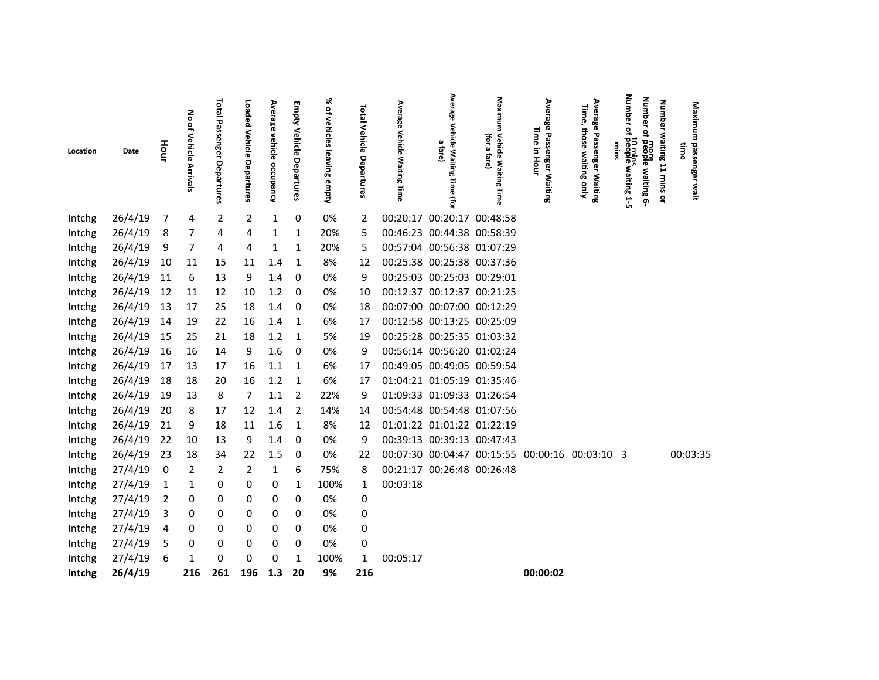|          |         |                |                                    |                                   |                           |                           |                                    | ৯                         |                                    |                                    | Average                                           |                                              |                                                   |                                                             | dmub<br>Number                                                                         |                                     |                                |
|----------|---------|----------------|------------------------------------|-----------------------------------|---------------------------|---------------------------|------------------------------------|---------------------------|------------------------------------|------------------------------------|---------------------------------------------------|----------------------------------------------|---------------------------------------------------|-------------------------------------------------------------|----------------------------------------------------------------------------------------|-------------------------------------|--------------------------------|
| Location | Date    | Hour           | る<br>of Vehicle<br><b>Arrivals</b> | <b>Total Passenger Departures</b> | Loaded Vehicle Departures | Average vehicle occupancy | <b>Empty Vehicle</b><br>Departures | of vehicles leaving empty | <b>Total Vehicle</b><br>Departures | Average<br>Vehicle Waiting<br>Time | Vehicle Waiting<br>$\omega$<br>fare)<br>Time<br>Ĵ | Maximum Vehicle Waiting Time<br>(for a fare) | Average<br>Time<br>Passenger Waiting<br>3<br>Hour | Average<br>Time,<br>those waiting only<br>Passenger Waiting | ፸<br>٩<br>$\vec{\sigma}$<br>10 mins<br>more<br>people waiting 6-<br>mms<br>waiting 1-5 | <b>Number</b><br>waiting 11 mins or | Maximum passenger wait<br>:ime |
| Intchg   | 26/4/19 | 7              | 4                                  | $\overline{2}$                    | $\overline{2}$            | 1                         | 0                                  | 0%                        | 2                                  |                                    | 00:20:17 00:20:17 00:48:58                        |                                              |                                                   |                                                             |                                                                                        |                                     |                                |
| Intchg   | 26/4/19 | 8              | 7                                  | 4                                 | 4                         | 1                         | 1                                  | 20%                       | 5                                  |                                    | 00:46:23 00:44:38 00:58:39                        |                                              |                                                   |                                                             |                                                                                        |                                     |                                |
| Intchg   | 26/4/19 | 9              | 7                                  | 4                                 | 4                         | 1                         | 1                                  | 20%                       | 5                                  |                                    | 00:57:04 00:56:38 01:07:29                        |                                              |                                                   |                                                             |                                                                                        |                                     |                                |
| Intchg   | 26/4/19 | 10             | 11                                 | 15                                | 11                        | 1.4                       | 1                                  | 8%                        | 12                                 |                                    | 00:25:38 00:25:38 00:37:36                        |                                              |                                                   |                                                             |                                                                                        |                                     |                                |
| Intchg   | 26/4/19 | 11             | 6                                  | 13                                | 9                         | 1.4                       | -0                                 | 0%                        | 9                                  |                                    | 00:25:03 00:25:03 00:29:01                        |                                              |                                                   |                                                             |                                                                                        |                                     |                                |
| Intchg   | 26/4/19 | 12             | 11                                 | 12                                | 10                        | 1.2                       | - 0                                | 0%                        | 10                                 |                                    | 00:12:37 00:12:37 00:21:25                        |                                              |                                                   |                                                             |                                                                                        |                                     |                                |
| Intchg   | 26/4/19 | 13             | 17                                 | 25                                | 18                        | 1.4                       | - 0                                | 0%                        | 18                                 |                                    | 00:07:00 00:07:00 00:12:29                        |                                              |                                                   |                                                             |                                                                                        |                                     |                                |
| Intchg   | 26/4/19 | 14             | 19                                 | 22                                | 16                        | 1.4                       | $\mathbf{1}$                       | 6%                        | 17                                 |                                    | 00:12:58 00:13:25 00:25:09                        |                                              |                                                   |                                                             |                                                                                        |                                     |                                |
| Intchg   | 26/4/19 | 15             | 25                                 | 21                                | 18                        | 1.2                       | $\overline{1}$                     | 5%                        | 19                                 |                                    | 00:25:28 00:25:35 01:03:32                        |                                              |                                                   |                                                             |                                                                                        |                                     |                                |
| Intchg   | 26/4/19 | 16             | 16                                 | 14                                | 9                         | 1.6                       | 0                                  | 0%                        | 9                                  |                                    | 00:56:14 00:56:20 01:02:24                        |                                              |                                                   |                                                             |                                                                                        |                                     |                                |
| Intchg   | 26/4/19 | 17             | 13                                 | 17                                | 16                        | 1.1                       | $\overline{1}$                     | 6%                        | 17                                 |                                    | 00:49:05 00:49:05 00:59:54                        |                                              |                                                   |                                                             |                                                                                        |                                     |                                |
| Intchg   | 26/4/19 | 18             | 18                                 | 20                                | 16                        | 1.2                       | $\mathbf{1}$                       | 6%                        | 17                                 |                                    | 01:04:21 01:05:19 01:35:46                        |                                              |                                                   |                                                             |                                                                                        |                                     |                                |
| Intchg   | 26/4/19 | 19             | 13                                 | 8                                 | 7                         | 1.1                       | $\overline{2}$                     | 22%                       | 9                                  |                                    | 01:09:33 01:09:33 01:26:54                        |                                              |                                                   |                                                             |                                                                                        |                                     |                                |
| Intchg   | 26/4/19 | 20             | 8                                  | 17                                | 12                        | 1.4                       | 2                                  | 14%                       | 14                                 |                                    | 00:54:48 00:54:48 01:07:56                        |                                              |                                                   |                                                             |                                                                                        |                                     |                                |
| Intchg   | 26/4/19 | 21             | 9                                  | 18                                | 11                        | 1.6                       | $\mathbf{1}$                       | 8%                        | 12                                 |                                    | 01:01:22 01:01:22 01:22:19                        |                                              |                                                   |                                                             |                                                                                        |                                     |                                |
| Intchg   | 26/4/19 | 22             | 10                                 | 13                                | 9                         | 1.4                       | 0                                  | 0%                        | 9                                  |                                    | 00:39:13 00:39:13 00:47:43                        |                                              |                                                   |                                                             |                                                                                        |                                     |                                |
| Intchg   | 26/4/19 | 23             | 18                                 | 34                                | 22                        | 1.5                       | 0                                  | 0%                        | 22                                 |                                    |                                                   |                                              | 00:07:30 00:04:47 00:15:55 00:00:16 00:03:10 3    |                                                             |                                                                                        |                                     | 00:03:35                       |
| Intchg   | 27/4/19 | $\pmb{0}$      | $\overline{2}$                     | 2                                 | 2                         | 1                         | 6                                  | 75%                       | 8                                  |                                    | 00:21:17 00:26:48 00:26:48                        |                                              |                                                   |                                                             |                                                                                        |                                     |                                |
| Intchg   | 27/4/19 | 1              | 1                                  | 0                                 | 0                         | 0                         | 1                                  | 100%                      | $\mathbf{1}$                       | 00:03:18                           |                                                   |                                              |                                                   |                                                             |                                                                                        |                                     |                                |
| Intchg   | 27/4/19 | $\overline{2}$ | 0                                  | 0                                 | 0                         | 0                         | 0                                  | 0%                        | 0                                  |                                    |                                                   |                                              |                                                   |                                                             |                                                                                        |                                     |                                |
| Intchg   | 27/4/19 | 3              | 0                                  | 0                                 | 0                         | 0                         | 0                                  | 0%                        | 0                                  |                                    |                                                   |                                              |                                                   |                                                             |                                                                                        |                                     |                                |
| Intchg   | 27/4/19 | 4              | 0                                  | 0                                 | 0                         | 0                         | 0                                  | 0%                        | 0                                  |                                    |                                                   |                                              |                                                   |                                                             |                                                                                        |                                     |                                |
| Intchg   | 27/4/19 | 5              | 0                                  | 0                                 | 0                         | 0                         | 0                                  | 0%                        | 0                                  |                                    |                                                   |                                              |                                                   |                                                             |                                                                                        |                                     |                                |
| Intchg   | 27/4/19 | 6              | 1                                  | 0                                 | 0                         | $\Omega$                  | 1                                  | 100%                      | $\mathbf{1}$                       | 00:05:17                           |                                                   |                                              |                                                   |                                                             |                                                                                        |                                     |                                |
| Intchg   | 26/4/19 |                | 216                                | 261                               | 196                       | 1.3                       | 20                                 | 9%                        | 216                                |                                    |                                                   |                                              | 00:00:02                                          |                                                             |                                                                                        |                                     |                                |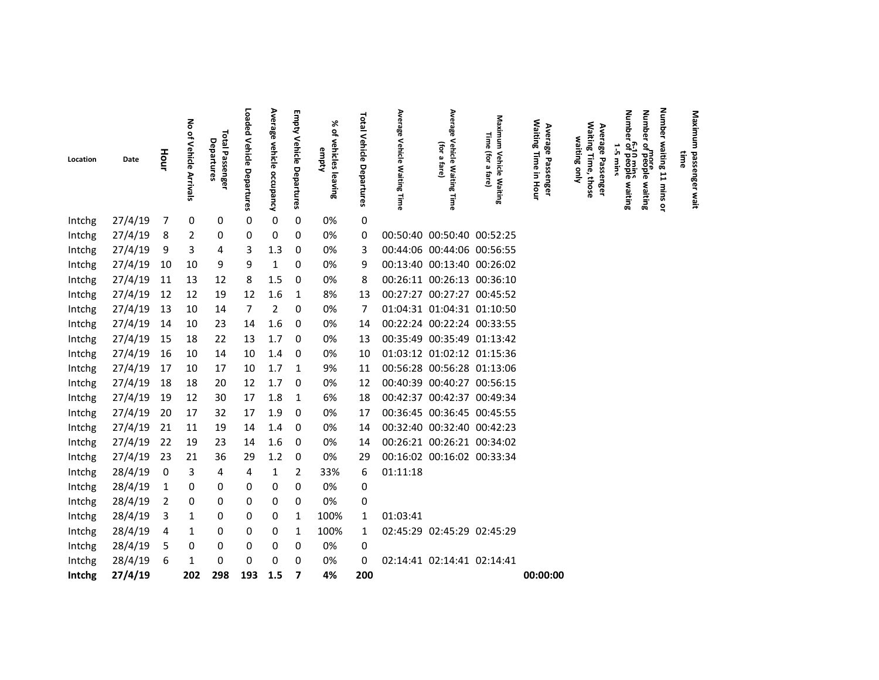|          |         |                |                                  |                               |                              |                           | <b>Empty</b>       | ৯ৎ                             |                                 |                              | Average                                              |                                              |                                                          |                                                          | Number<br><b>Number</b>                                                         | <b>Number</b>      |                                       |
|----------|---------|----------------|----------------------------------|-------------------------------|------------------------------|---------------------------|--------------------|--------------------------------|---------------------------------|------------------------------|------------------------------------------------------|----------------------------------------------|----------------------------------------------------------|----------------------------------------------------------|---------------------------------------------------------------------------------|--------------------|---------------------------------------|
| Location | Date    | Hour           | No of Vehicle<br><b>Arrivals</b> | Total Passenger<br>Departures | Loaded Vehicle<br>Departures | Average vehicle occupancy | Vehicle Departures | ₽<br>vehicles leaving<br>empty | <b>Total Vehicle Departures</b> | Average Vehicle Waiting Time | <b>Vehicle</b><br>(for a<br>fare)<br>Waiting<br>Time | Maximum Vehicle Waiting<br>Time (for a fare) | <b>Waiting Time</b><br>Average<br>Passenger<br>5<br>Hour | Waiting Time, those<br>Average Passenger<br>waiting only | more<br>of people waiting<br>6-10 mins<br>of people waiting<br>ň<br><b>Wine</b> | waiting 11 mins or | Maximum passenger wait<br><b>fime</b> |
| Intchg   | 27/4/19 | 7              | 0                                | 0                             | $\pmb{0}$                    | $\pmb{0}$                 | 0                  | 0%                             | 0                               |                              |                                                      |                                              |                                                          |                                                          |                                                                                 |                    |                                       |
| Intchg   | 27/4/19 | 8              | $\overline{2}$                   | 0                             | 0                            | $\pmb{0}$                 | 0                  | 0%                             | 0                               |                              | 00:50:40 00:50:40 00:52:25                           |                                              |                                                          |                                                          |                                                                                 |                    |                                       |
| Intchg   | 27/4/19 | 9              | 3                                | 4                             | 3                            | 1.3                       | 0                  | 0%                             | 3                               |                              | 00:44:06 00:44:06 00:56:55                           |                                              |                                                          |                                                          |                                                                                 |                    |                                       |
| Intchg   | 27/4/19 | 10             | 10                               | 9                             | 9                            | 1                         | 0                  | 0%                             | 9                               |                              | 00:13:40 00:13:40 00:26:02                           |                                              |                                                          |                                                          |                                                                                 |                    |                                       |
| Intchg   | 27/4/19 | 11             | 13                               | 12                            | 8                            | 1.5                       | 0                  | 0%                             | 8                               |                              | 00:26:11 00:26:13 00:36:10                           |                                              |                                                          |                                                          |                                                                                 |                    |                                       |
| Intchg   | 27/4/19 | 12             | 12                               | 19                            | 12                           | 1.6                       | 1                  | 8%                             | 13                              |                              | 00:27:27 00:27:27 00:45:52                           |                                              |                                                          |                                                          |                                                                                 |                    |                                       |
| Intchg   | 27/4/19 | 13             | 10                               | 14                            | $\overline{7}$               | $\overline{2}$            | 0                  | 0%                             | 7                               |                              | 01:04:31 01:04:31 01:10:50                           |                                              |                                                          |                                                          |                                                                                 |                    |                                       |
| Intchg   | 27/4/19 | 14             | 10                               | 23                            | 14                           | 1.6                       | 0                  | 0%                             | 14                              |                              | 00:22:24 00:22:24 00:33:55                           |                                              |                                                          |                                                          |                                                                                 |                    |                                       |
| Intchg   | 27/4/19 | 15             | 18                               | 22                            | 13                           | 1.7                       | - 0                | 0%                             | 13                              |                              | 00:35:49 00:35:49 01:13:42                           |                                              |                                                          |                                                          |                                                                                 |                    |                                       |
| Intchg   | 27/4/19 | 16             | 10                               | 14                            | 10                           | 1.4                       | - 0                | 0%                             | 10                              |                              |                                                      | 01:03:12 01:02:12 01:15:36                   |                                                          |                                                          |                                                                                 |                    |                                       |
| Intchg   | 27/4/19 | 17             | 10                               | 17                            | 10                           | 1.7                       | $\overline{1}$     | 9%                             | 11                              |                              |                                                      | 00:56:28 00:56:28 01:13:06                   |                                                          |                                                          |                                                                                 |                    |                                       |
| Intchg   | 27/4/19 | 18             | 18                               | 20                            | 12                           | 1.7                       | 0                  | 0%                             | 12                              |                              | 00:40:39 00:40:27 00:56:15                           |                                              |                                                          |                                                          |                                                                                 |                    |                                       |
| Intchg   | 27/4/19 | 19             | 12                               | 30                            | 17                           | 1.8                       | $\mathbf{1}$       | 6%                             | 18                              |                              | 00:42:37 00:42:37 00:49:34                           |                                              |                                                          |                                                          |                                                                                 |                    |                                       |
| Intchg   | 27/4/19 | 20             | 17                               | 32                            | 17                           | 1.9                       | 0                  | 0%                             | 17                              |                              | 00:36:45 00:36:45 00:45:55                           |                                              |                                                          |                                                          |                                                                                 |                    |                                       |
| Intchg   | 27/4/19 | 21             | 11                               | 19                            | 14                           | 1.4                       | -0                 | 0%                             | 14                              |                              | 00:32:40 00:32:40 00:42:23                           |                                              |                                                          |                                                          |                                                                                 |                    |                                       |
| Intchg   | 27/4/19 | 22             | 19                               | 23                            | 14                           | 1.6                       | 0                  | 0%                             | 14                              |                              | 00:26:21 00:26:21 00:34:02                           |                                              |                                                          |                                                          |                                                                                 |                    |                                       |
| Intchg   | 27/4/19 | 23             | 21                               | 36                            | 29                           | 1.2                       | 0                  | 0%                             | 29                              |                              | 00:16:02 00:16:02 00:33:34                           |                                              |                                                          |                                                          |                                                                                 |                    |                                       |
| Intchg   | 28/4/19 | 0              | 3                                | 4                             | 4                            | 1                         | 2                  | 33%                            | 6                               | 01:11:18                     |                                                      |                                              |                                                          |                                                          |                                                                                 |                    |                                       |
| Intchg   | 28/4/19 | 1              | 0                                | 0                             | 0                            | 0                         | 0                  | 0%                             | 0                               |                              |                                                      |                                              |                                                          |                                                          |                                                                                 |                    |                                       |
| Intchg   | 28/4/19 | $\overline{2}$ | 0                                | 0                             | 0                            | 0                         | $\Omega$           | 0%                             | 0                               |                              |                                                      |                                              |                                                          |                                                          |                                                                                 |                    |                                       |
| Intchg   | 28/4/19 | 3              | 1                                | 0                             | 0                            | 0                         | 1                  | 100%                           | 1                               | 01:03:41                     |                                                      |                                              |                                                          |                                                          |                                                                                 |                    |                                       |
| Intchg   | 28/4/19 | 4              | 1                                | 0                             | 0                            | 0                         | 1                  | 100%                           | $\mathbf{1}$                    |                              | 02:45:29 02:45:29 02:45:29                           |                                              |                                                          |                                                          |                                                                                 |                    |                                       |
| Intchg   | 28/4/19 | 5              | 0                                | 0                             | 0                            | 0                         | 0                  | 0%                             | 0                               |                              |                                                      |                                              |                                                          |                                                          |                                                                                 |                    |                                       |
| Intchg   | 28/4/19 | 6              | 1                                | 0                             | 0                            | $\Omega$                  | 0                  | 0%                             | 0                               |                              | 02:14:41 02:14:41 02:14:41                           |                                              |                                                          |                                                          |                                                                                 |                    |                                       |
| Intchg   | 27/4/19 |                | 202                              | 298                           | 193                          | 1.5                       | 7                  | 4%                             | 200                             |                              |                                                      |                                              | 00:00:00                                                 |                                                          |                                                                                 |                    |                                       |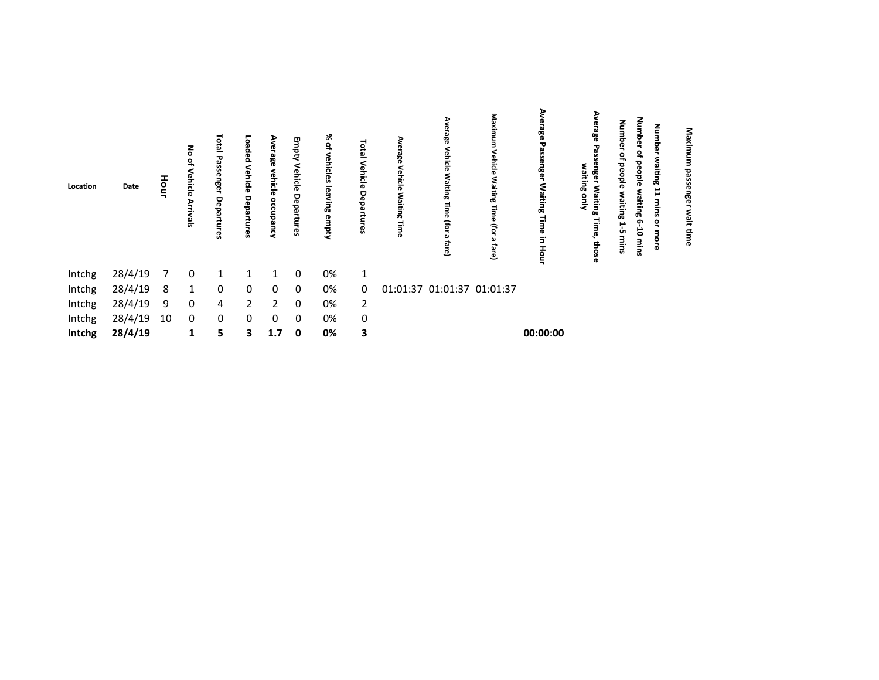| Location | Date    | lour | る<br>hicle<br>ikals | isi<br>I<br>ese<br>nge<br>eba<br>۵Ö<br><b>SP</b> | oaded<br>Vehicle<br>5<br>ä<br>ဥ | န္တင<br>vehicl<br>ठ<br>٥ | 3<br>इ<br>Vehicle<br>5<br>partures | % of<br>vehicles<br>lea<br>Ning<br>empty | <b>PED</b><br>Vehicle<br>Departures | ಕ್ಷಿ<br>Eing<br>awi | <b>Tehicle</b><br>Waitin<br>€Ē<br>fare) | Μa<br>š.<br>/ehicle<br>Ē<br>œ<br>(for<br>ವ<br>₾ | ఇ<br>군<br>ssenger<br>Waiting<br>5.<br>I<br>g | 99<br>waiting<br>٤<br>λμο<br>Jaiting<br>o<br>Ğ, | <b>Num</b><br>ठ<br>൹<br>aple<br>Œ<br>UП | dunb<br>Number<br>ቧ<br>٩<br>ರ<br>raiting<br>epple<br>出<br>waiting<br>mins<br>თ<br>٩<br>ä<br>з<br>ō<br>G<br>mins | Maxim<br>es<br>Se<br>senger<br>wait<br>time |  |  |
|----------|---------|------|---------------------|--------------------------------------------------|---------------------------------|--------------------------|------------------------------------|------------------------------------------|-------------------------------------|---------------------|-----------------------------------------|-------------------------------------------------|----------------------------------------------|-------------------------------------------------|-----------------------------------------|-----------------------------------------------------------------------------------------------------------------|---------------------------------------------|--|--|
| Intchg   | 28/4/19 |      | 0                   |                                                  |                                 |                          | 0                                  | 0%                                       | 1                                   |                     |                                         |                                                 |                                              |                                                 |                                         |                                                                                                                 |                                             |  |  |
| Intchg   | 28/4/19 | 8    | 1                   | 0                                                | 0                               | 0                        | $\mathbf 0$                        | 0%                                       | $\mathbf{0}$                        |                     | 01:01:37 01:01:37 01:01:37              |                                                 |                                              |                                                 |                                         |                                                                                                                 |                                             |  |  |
| Intchg   | 28/4/19 | 9    | 0                   | 4                                                | $\overline{2}$                  | $\overline{2}$           | 0                                  | 0%                                       | 2                                   |                     |                                         |                                                 |                                              |                                                 |                                         |                                                                                                                 |                                             |  |  |
| Intchg   | 28/4/19 | 10   | $\mathbf 0$         | 0                                                | 0                               | 0                        | 0                                  | 0%                                       | 0                                   |                     |                                         |                                                 |                                              |                                                 |                                         |                                                                                                                 |                                             |  |  |
| Intchg   | 28/4/19 |      | 1                   | 5.                                               | 3                               | 1.7                      | $\mathbf 0$                        | 0%                                       | 3                                   |                     |                                         |                                                 | 00:00:00                                     |                                                 |                                         |                                                                                                                 |                                             |  |  |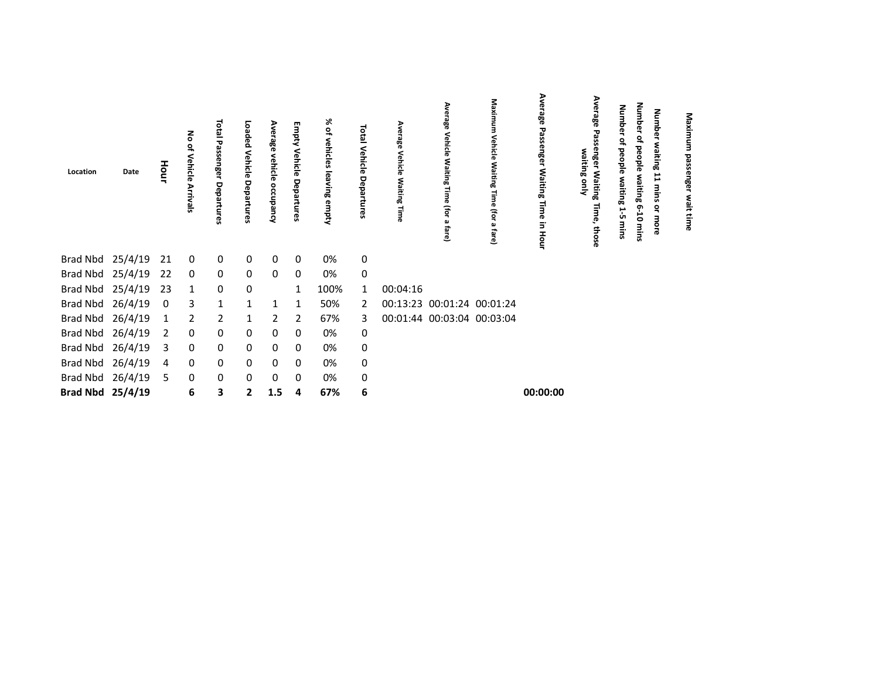| Location         | Date    | Hour | る<br>Vehicle<br>Arrivals | isi<br>E<br>᠊ᢦ<br>assenger<br>Depart<br>ၛၟ | Loaded<br>Vehicle<br>Departures | Average<br>ehicle<br>occupancy | Empty<br>Vehicle<br>Departures | % of<br>vehicles leaving<br>empty | Total Vehicle<br>Departures | Average<br>Vehicle<br><b>Waiting</b><br>Time | Ave<br>rage<br>Vehicle<br>Waiting<br>ō<br>(for<br>ē | Maximum<br>Vehicle<br>Waiting<br>Time<br>(for a<br><b>fare</b> | Average<br>Passenger Waiting Time in Hour | Ave<br>rrage<br>enge<br>waiting only<br><b>Waiting</b><br>lime,<br>those | Number<br>٩<br>people<br>waiting<br>⊢<br>ůπ<br>mins | Number<br>₽<br>beople<br>تە<br>iting<br>ø<br>5<br>mins | Number<br>waiting<br>H<br>mins<br>å<br>more | Maximu<br>뎧<br>nge<br>٤<br>nt time |  |
|------------------|---------|------|--------------------------|--------------------------------------------|---------------------------------|--------------------------------|--------------------------------|-----------------------------------|-----------------------------|----------------------------------------------|-----------------------------------------------------|----------------------------------------------------------------|-------------------------------------------|--------------------------------------------------------------------------|-----------------------------------------------------|--------------------------------------------------------|---------------------------------------------|------------------------------------|--|
| Brad Nbd         | 25/4/19 | 21   | $\mathbf 0$              | $\overline{0}$                             | 0                               | 0                              | 0                              | 0%                                | $\pmb{0}$                   |                                              |                                                     |                                                                |                                           |                                                                          |                                                     |                                                        |                                             |                                    |  |
| Brad Nbd         | 25/4/19 | 22   | $\mathbf 0$              | 0                                          | 0                               | 0                              | 0                              | 0%                                | 0                           |                                              |                                                     |                                                                |                                           |                                                                          |                                                     |                                                        |                                             |                                    |  |
| <b>Brad Nbd</b>  | 25/4/19 | 23   | $\mathbf{1}$             | 0                                          | 0                               |                                |                                | 100%                              | $\mathbf{1}$                | 00:04:16                                     |                                                     |                                                                |                                           |                                                                          |                                                     |                                                        |                                             |                                    |  |
| <b>Brad Nbd</b>  | 26/4/19 | 0    | 3                        | $\mathbf{1}$                               | $\mathbf{1}$                    | $\mathbf{1}$                   | 1                              | 50%                               | 2                           | 00:13:23 00:01:24 00:01:24                   |                                                     |                                                                |                                           |                                                                          |                                                     |                                                        |                                             |                                    |  |
| <b>Brad Nbd</b>  | 26/4/19 | 1    | $\overline{2}$           | $\overline{2}$                             | 1                               | $\overline{2}$                 | 2                              | 67%                               | 3                           | 00:01:44 00:03:04 00:03:04                   |                                                     |                                                                |                                           |                                                                          |                                                     |                                                        |                                             |                                    |  |
| <b>Brad Nbd</b>  | 26/4/19 | 2    | 0                        | 0                                          | 0                               | 0                              | 0                              | 0%                                | 0                           |                                              |                                                     |                                                                |                                           |                                                                          |                                                     |                                                        |                                             |                                    |  |
| <b>Brad Nbd</b>  | 26/4/19 | 3    | $\mathbf 0$              | 0                                          | 0                               | 0                              | 0                              | 0%                                | $\pmb{0}$                   |                                              |                                                     |                                                                |                                           |                                                                          |                                                     |                                                        |                                             |                                    |  |
| Brad Nbd         | 26/4/19 | 4    | 0                        | 0                                          | 0                               | 0                              | 0                              | 0%                                | $\mathbf 0$                 |                                              |                                                     |                                                                |                                           |                                                                          |                                                     |                                                        |                                             |                                    |  |
| <b>Brad Nbd</b>  | 26/4/19 | 5    | 0                        | 0                                          | 0                               | 0                              | 0                              | 0%                                | $\pmb{0}$                   |                                              |                                                     |                                                                |                                           |                                                                          |                                                     |                                                        |                                             |                                    |  |
| Brad Nbd 25/4/19 |         |      | 6                        | 3                                          | $\mathbf{2}$                    | 1.5                            | 4                              | 67%                               | 6                           |                                              |                                                     |                                                                | 00:00:00                                  |                                                                          |                                                     |                                                        |                                             |                                    |  |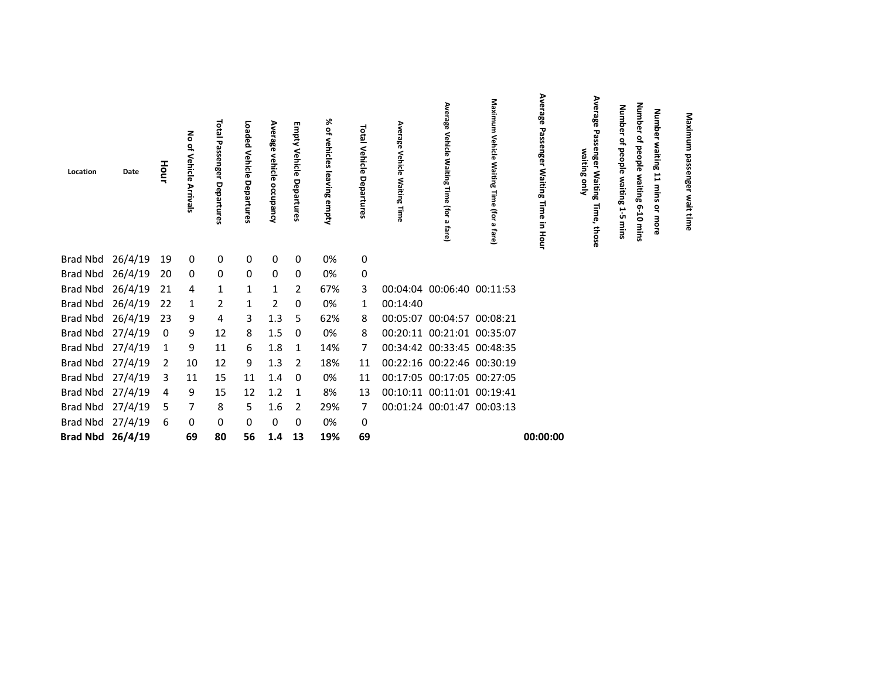| Location            | Date | Hour           | Vehicle      | <b>Total Passenger Departures</b> | Loaded<br>Vehicle Departures | Average<br>vehicle<br>occupancy | Empty Vehicle<br>Departures | % of vehicles leaving empty | <b>Total Vehicle</b><br>Departures | Average<br>Vehicle Waiting Time | Average<br>Vehicle Waiting Time (for a<br>fare) | Maximum<br><b>Vehicle</b><br>Waiting<br>Time (for<br>$\pmb{\omega}$<br>fare) | Average<br>Passenger Waiting Time<br>in Hour | Average<br>Passenger Waiting<br>waiting only<br>Time, those | Number<br>٩<br>people<br>waiting<br>15<br>mins | Number<br>٩<br>people<br>waiting 6-10 mins | <b>Number</b><br>waiting<br>$\mathbf{r}$<br>mins<br>ຊ<br>more | Maximu<br>g<br>င္တ<br>engel<br>wait<br>time |  |
|---------------------|------|----------------|--------------|-----------------------------------|------------------------------|---------------------------------|-----------------------------|-----------------------------|------------------------------------|---------------------------------|-------------------------------------------------|------------------------------------------------------------------------------|----------------------------------------------|-------------------------------------------------------------|------------------------------------------------|--------------------------------------------|---------------------------------------------------------------|---------------------------------------------|--|
| Brad Nbd 26/4/19    |      | 19             | 0            | 0                                 | 0                            | 0                               | 0                           | 0%                          | $\mathbf 0$                        |                                 |                                                 |                                                                              |                                              |                                                             |                                                |                                            |                                                               |                                             |  |
| Brad Nbd 26/4/19    |      | 20             | $\mathbf 0$  | 0                                 | $\mathbf{0}$                 | 0                               | 0                           | 0%                          | $\mathsf 0$                        |                                 |                                                 |                                                                              |                                              |                                                             |                                                |                                            |                                                               |                                             |  |
| Brad Nbd 26/4/19 21 |      |                | 4            | $\mathbf{1}$                      | $\mathbf{1}$                 | $\mathbf{1}$                    | 2                           | 67%                         | 3                                  |                                 | 00:04:04 00:06:40 00:11:53                      |                                                                              |                                              |                                                             |                                                |                                            |                                                               |                                             |  |
| Brad Nbd 26/4/19    |      | 22             | $\mathbf{1}$ | $\overline{2}$                    | $\mathbf{1}$                 | $\overline{2}$                  | 0                           | 0%                          | 1                                  | 00:14:40                        |                                                 |                                                                              |                                              |                                                             |                                                |                                            |                                                               |                                             |  |
| Brad Nbd 26/4/19    |      | 23             | 9            | 4                                 | 3                            | 1.3                             | -5                          | 62%                         | 8                                  |                                 | 00:05:07 00:04:57 00:08:21                      |                                                                              |                                              |                                                             |                                                |                                            |                                                               |                                             |  |
| Brad Nbd 27/4/19    |      | $\mathbf 0$    | 9            | 12                                | 8                            | 1.5                             | 0                           | 0%                          | 8                                  |                                 | 00:20:11 00:21:01 00:35:07                      |                                                                              |                                              |                                                             |                                                |                                            |                                                               |                                             |  |
| Brad Nbd 27/4/19    |      | $\mathbf{1}$   | 9            | 11                                | 6                            | 1.8                             | $\mathbf{1}$                | 14%                         | 7                                  |                                 | 00:34:42 00:33:45 00:48:35                      |                                                                              |                                              |                                                             |                                                |                                            |                                                               |                                             |  |
| Brad Nbd 27/4/19    |      | $\overline{2}$ | 10           | 12                                | 9                            | 1.3                             | $\overline{2}$              | 18%                         | 11                                 |                                 | 00:22:16 00:22:46 00:30:19                      |                                                                              |                                              |                                                             |                                                |                                            |                                                               |                                             |  |
| Brad Nbd 27/4/19    |      | 3              | 11           | 15                                | 11                           | 1.4                             | 0                           | 0%                          | 11                                 |                                 | 00:17:05 00:17:05 00:27:05                      |                                                                              |                                              |                                                             |                                                |                                            |                                                               |                                             |  |
| Brad Nbd 27/4/19    |      | 4              | 9            | 15                                | 12                           | 1.2                             | -1                          | 8%                          | 13                                 |                                 | 00:10:11 00:11:01 00:19:41                      |                                                                              |                                              |                                                             |                                                |                                            |                                                               |                                             |  |
| Brad Nbd 27/4/19    |      | - 5            | 7            | 8                                 | 5                            | 1.6                             | 2                           | 29%                         | $\overline{7}$                     |                                 | 00:01:24 00:01:47 00:03:13                      |                                                                              |                                              |                                                             |                                                |                                            |                                                               |                                             |  |
| Brad Nbd 27/4/19    |      | 6              | 0            | 0                                 | 0                            | 0                               | 0                           | 0%                          | $\mathsf 0$                        |                                 |                                                 |                                                                              |                                              |                                                             |                                                |                                            |                                                               |                                             |  |
| Brad Nbd 26/4/19    |      |                | 69           | 80                                | 56                           | 1.4 13                          |                             | 19%                         | 69                                 |                                 |                                                 |                                                                              | 00:00:00                                     |                                                             |                                                |                                            |                                                               |                                             |  |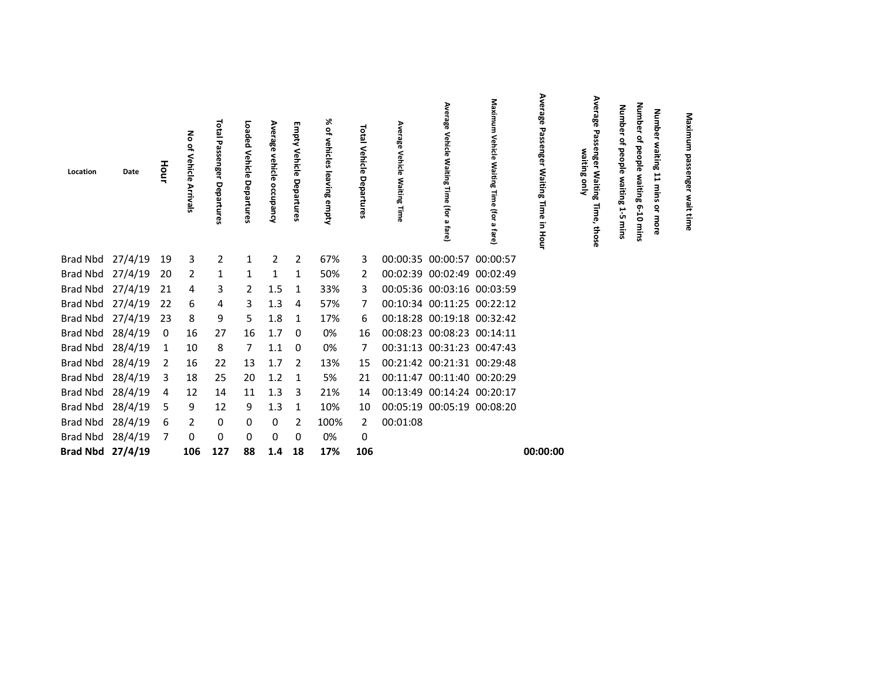| Location         | Date | Hour | 롱<br>٩<br>Vehicle<br><b>Arrivals</b> | <b>Total</b><br>Passenger<br>Departu<br>ទី | Loaded<br>Vehicle<br>Departures | Average<br>vehicle<br>occupancy | m<br>And wij<br>Vehicle<br>Departures | ⋇<br>٩<br>vehicles<br>leaving empty | Total<br>Vehicle<br>Departur<br>G9 | Average<br>Vehicle<br><b>Waiting</b><br>릫 | Average<br>Vehicle<br>Waiting<br>Time (for a<br>fare) | Maximum<br>Vehicle Waiting Time<br>ffor a<br>fare) | Average<br>Passenger<br><b>Waiting</b><br>Time<br>2.<br><b>Hour</b> | Average<br>enge<br>waiting only<br>Waiting<br>Ö,<br>those | Num<br>ᠳ<br>Ō<br>٩.<br>people<br>waiting<br>15<br>mins | Numb<br>ሟ<br>٩<br>people waiting<br>$6 - 10$<br>mins | <b>Number</b><br>waiting<br>11<br>mins<br>ă<br>more | Maximu<br>з<br>passenge<br>wait<br>time |  |
|------------------|------|------|--------------------------------------|--------------------------------------------|---------------------------------|---------------------------------|---------------------------------------|-------------------------------------|------------------------------------|-------------------------------------------|-------------------------------------------------------|----------------------------------------------------|---------------------------------------------------------------------|-----------------------------------------------------------|--------------------------------------------------------|------------------------------------------------------|-----------------------------------------------------|-----------------------------------------|--|
| Brad Nbd 27/4/19 |      | 19   | 3                                    | $\overline{2}$                             | $\mathbf{1}$                    | $\overline{2}$                  | $\overline{2}$                        | 67%                                 | 3                                  |                                           | 00:00:35 00:00:57 00:00:57                            |                                                    |                                                                     |                                                           |                                                        |                                                      |                                                     |                                         |  |
| Brad Nbd 27/4/19 |      | 20   | 2                                    | 1                                          | 1                               | 1                               | 1                                     | 50%                                 | 2                                  |                                           | 00:02:39 00:02:49 00:02:49                            |                                                    |                                                                     |                                                           |                                                        |                                                      |                                                     |                                         |  |
| Brad Nbd 27/4/19 |      | 21   | 4                                    | 3                                          | 2                               | 1.5                             | $\mathbf{1}$                          | 33%                                 | 3                                  |                                           | 00:05:36 00:03:16 00:03:59                            |                                                    |                                                                     |                                                           |                                                        |                                                      |                                                     |                                         |  |
| Brad Nbd 27/4/19 |      | 22   | 6                                    | 4                                          | 3                               | 1.3                             | 4                                     | 57%                                 | 7                                  |                                           | 00:10:34 00:11:25 00:22:12                            |                                                    |                                                                     |                                                           |                                                        |                                                      |                                                     |                                         |  |
| Brad Nbd 27/4/19 |      | 23   | 8                                    | 9                                          | 5.                              | 1.8                             | 1                                     | 17%                                 | 6                                  |                                           | 00:18:28 00:19:18 00:32:42                            |                                                    |                                                                     |                                                           |                                                        |                                                      |                                                     |                                         |  |
| Brad Nbd 28/4/19 |      | 0    | 16                                   | 27                                         | 16                              | 1.7                             | $\overline{0}$                        | 0%                                  | 16                                 |                                           | 00:08:23 00:08:23 00:14:11                            |                                                    |                                                                     |                                                           |                                                        |                                                      |                                                     |                                         |  |
| Brad Nbd 28/4/19 |      | 1    | 10                                   | 8                                          | 7                               | 1.1                             | 0                                     | 0%                                  | 7                                  |                                           | 00:31:13 00:31:23 00:47:43                            |                                                    |                                                                     |                                                           |                                                        |                                                      |                                                     |                                         |  |
| Brad Nbd 28/4/19 |      | 2    | 16                                   | 22                                         | 13                              | 1.7                             | -2                                    | 13%                                 | 15                                 |                                           | 00:21:42 00:21:31 00:29:48                            |                                                    |                                                                     |                                                           |                                                        |                                                      |                                                     |                                         |  |
| Brad Nbd 28/4/19 |      | 3    | 18                                   | 25                                         | 20                              | 1.2                             | 1                                     | 5%                                  | 21                                 |                                           | 00:11:47 00:11:40 00:20:29                            |                                                    |                                                                     |                                                           |                                                        |                                                      |                                                     |                                         |  |
| Brad Nbd 28/4/19 |      | 4    | 12                                   | 14                                         | 11                              | 1.3                             | 3                                     | 21%                                 | 14                                 | 00:13:49 00:14:24 00:20:17                |                                                       |                                                    |                                                                     |                                                           |                                                        |                                                      |                                                     |                                         |  |
| Brad Nbd 28/4/19 |      | 5    | 9                                    | 12                                         | 9                               | 1.3                             | 1                                     | 10%                                 | 10                                 |                                           | 00:05:19 00:05:19 00:08:20                            |                                                    |                                                                     |                                                           |                                                        |                                                      |                                                     |                                         |  |
| Brad Nbd 28/4/19 |      | 6    | 2                                    | 0                                          | 0                               | 0                               | 2                                     | 100%                                | $2^{\circ}$                        | 00:01:08                                  |                                                       |                                                    |                                                                     |                                                           |                                                        |                                                      |                                                     |                                         |  |
| Brad Nbd 28/4/19 |      | 7    | 0                                    | 0                                          | 0                               | 0                               | 0                                     | 0%                                  | 0                                  |                                           |                                                       |                                                    |                                                                     |                                                           |                                                        |                                                      |                                                     |                                         |  |
| Brad Nbd 27/4/19 |      |      | 106                                  | 127                                        | 88                              | 1.4                             | 18                                    | 17%                                 | 106                                |                                           |                                                       |                                                    | 00:00:00                                                            |                                                           |                                                        |                                                      |                                                     |                                         |  |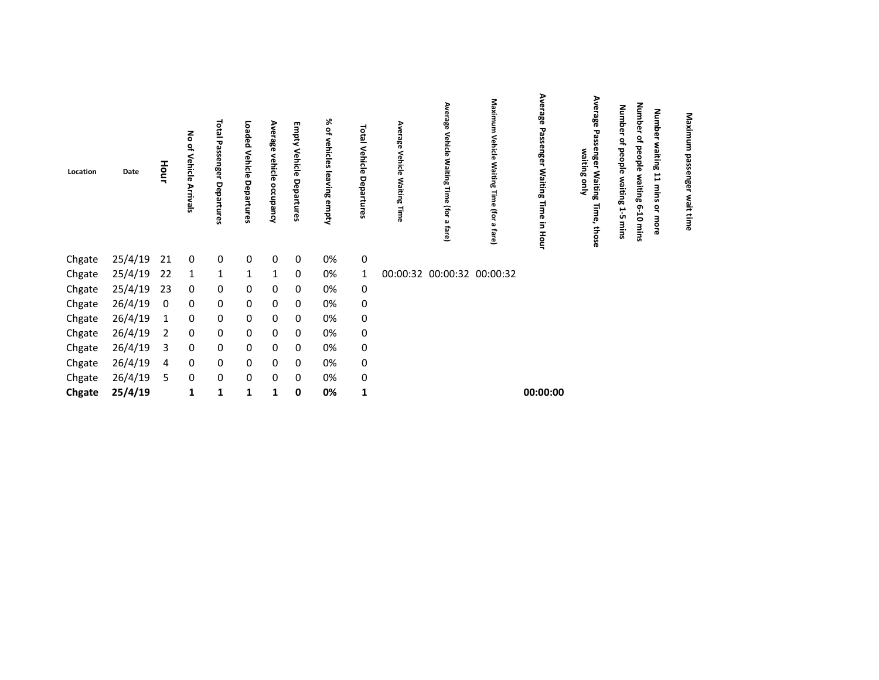| Location | Date    | Hour | 롱<br>Vehicle<br>Arrivals | <b>Lota</b><br>ᇃ<br>assenger<br>Departures | Loaded<br>Vehicle<br>Departures | Average<br>vehicle<br>occupancy | Empty<br>Vehicle<br>Departures | ⋇<br>$\tilde{\vec{\sigma}}$<br>vehicles leaving<br>empty | isi<br>I<br>Vehicle<br>Departures | 56<br>Vehicl<br>ਨ<br>Waitin<br>œ | Ave<br>eage<br>Vehicle<br><b>Waiting</b><br>Time<br>(for<br>ച<br>fare) | Maximum<br>Vehicle<br>Waiting Time (for a fare) | Average<br>Passenger<br><b>Waiting Time</b><br>3<br>Hour | Average<br>29<br>ssenger Waiting<br>waiting<br>gnly<br>$\vec{a}$<br>ღ<br>those | Num<br>흥<br>٩<br>ᄝ<br><u>ة</u><br>waitin<br>œ<br>ůπ | Number<br>٩,<br>beople<br>waiting<br>ၐု<br>5<br>mins | Number<br>waiting<br>11<br>mins<br>å<br>more | Maximum<br>g<br>ន្ល<br>œ<br>នី<br>wait time |  |
|----------|---------|------|--------------------------|--------------------------------------------|---------------------------------|---------------------------------|--------------------------------|----------------------------------------------------------|-----------------------------------|----------------------------------|------------------------------------------------------------------------|-------------------------------------------------|----------------------------------------------------------|--------------------------------------------------------------------------------|-----------------------------------------------------|------------------------------------------------------|----------------------------------------------|---------------------------------------------|--|
| Chgate   | 25/4/19 | 21   | $\overline{\mathbf{0}}$  | 0                                          | 0                               | 0                               | 0                              | 0%                                                       | 0                                 |                                  |                                                                        |                                                 |                                                          |                                                                                |                                                     |                                                      |                                              |                                             |  |
| Chgate   | 25/4/19 | 22   | 1                        | 1                                          | $\mathbf{1}$                    | 1                               | $\mathbf 0$                    | 0%                                                       | $\mathbf{1}$                      |                                  | 00:00:32 00:00:32 00:00:32                                             |                                                 |                                                          |                                                                                |                                                     |                                                      |                                              |                                             |  |
| Chgate   | 25/4/19 | 23   | 0                        | 0                                          | 0                               | 0                               | $\mathbf{0}$                   | 0%                                                       | 0                                 |                                  |                                                                        |                                                 |                                                          |                                                                                |                                                     |                                                      |                                              |                                             |  |
| Chgate   | 26/4/19 | 0    | 0                        | 0                                          | 0                               | 0                               | 0                              | 0%                                                       | 0                                 |                                  |                                                                        |                                                 |                                                          |                                                                                |                                                     |                                                      |                                              |                                             |  |
| Chgate   | 26/4/19 |      | 0                        | 0                                          | 0                               | 0                               | 0                              | 0%                                                       | 0                                 |                                  |                                                                        |                                                 |                                                          |                                                                                |                                                     |                                                      |                                              |                                             |  |
| Chgate   | 26/4/19 | 2    | 0                        | 0                                          | 0                               | 0                               | 0                              | 0%                                                       | 0                                 |                                  |                                                                        |                                                 |                                                          |                                                                                |                                                     |                                                      |                                              |                                             |  |
| Chgate   | 26/4/19 | 3    | 0                        | 0                                          | 0                               | 0                               | 0                              | 0%                                                       | 0                                 |                                  |                                                                        |                                                 |                                                          |                                                                                |                                                     |                                                      |                                              |                                             |  |
| Chgate   | 26/4/19 | 4    | 0                        | 0                                          | 0                               | 0                               | 0                              | 0%                                                       | 0                                 |                                  |                                                                        |                                                 |                                                          |                                                                                |                                                     |                                                      |                                              |                                             |  |
| Chgate   | 26/4/19 | 5    | 0                        | 0                                          | 0                               | 0                               | - 0                            | 0%                                                       | 0                                 |                                  |                                                                        |                                                 |                                                          |                                                                                |                                                     |                                                      |                                              |                                             |  |
| Chgate   | 25/4/19 |      | 1                        | 1                                          | 1                               | 1                               | 0                              | 0%                                                       | $\mathbf{1}$                      |                                  |                                                                        |                                                 | 00:00:00                                                 |                                                                                |                                                     |                                                      |                                              |                                             |  |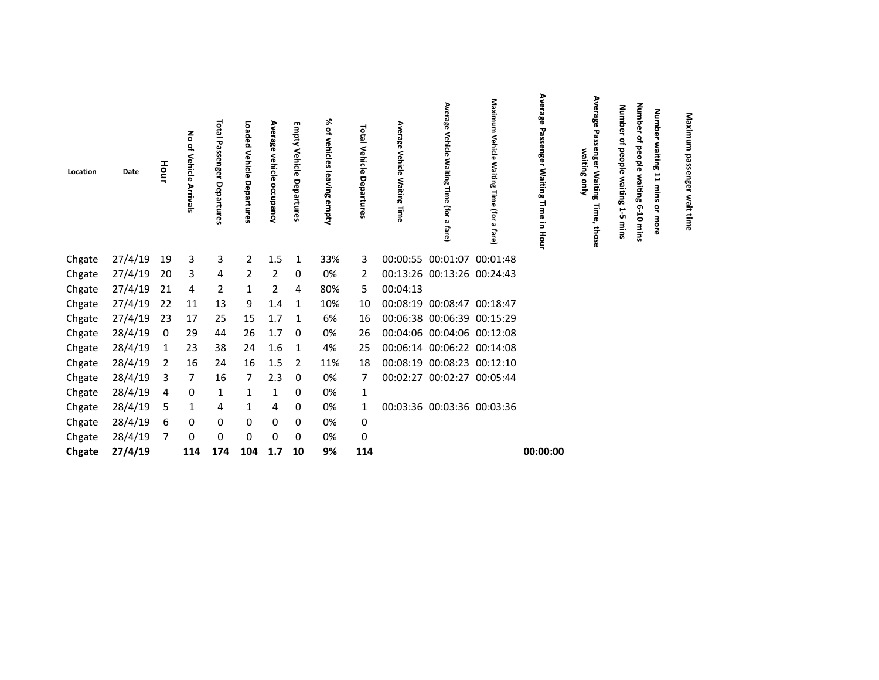| Location | Date    | Hour           | る<br>Vehicle<br>Arrivals | Total<br>᠊ᡆ<br>ω<br>ssenger<br>Depa<br>m | Loaded<br>Vehicle<br>Departures | Ave<br>ھ<br>ౙఀ<br>vehicle<br>Õ<br><b>A</b> bued | Empty<br>Vehicle<br>Departures | ৯<br>읶<br>vehicles<br>leaving<br>empty | Total<br>Vehicle<br>Departures | Average<br>Vehicle<br><b>Waiting Time</b> | Ave<br><b>Lage</b><br><b>Vehicle</b><br>: Waiting<br>lime<br>(for<br>fare) | Maximum<br>Vehicle Waiting Time<br>(for a<br>fare) | Average Passenger<br><b>Waiting Time</b><br>in Hour | Average<br>enger Waiting<br>waiting only<br>llme,<br>those | dmub<br>ቧ<br>٩,<br>people<br>waiting<br>15<br>≣ | Number<br>٩<br>beople<br>waiting 6-10<br>mins | <b>Number</b><br>waiting<br>H<br>mins<br>$\tilde{\mathbf{a}}$<br>more | Maximu<br>basse<br>mger<br>wait<br>time |
|----------|---------|----------------|--------------------------|------------------------------------------|---------------------------------|-------------------------------------------------|--------------------------------|----------------------------------------|--------------------------------|-------------------------------------------|----------------------------------------------------------------------------|----------------------------------------------------|-----------------------------------------------------|------------------------------------------------------------|-------------------------------------------------|-----------------------------------------------|-----------------------------------------------------------------------|-----------------------------------------|
| Chgate   | 27/4/19 | 19             | 3                        | 3                                        | 2                               | 1.5                                             | 1                              | 33%                                    | 3                              |                                           | 00:00:55 00:01:07 00:01:48                                                 |                                                    |                                                     |                                                            |                                                 |                                               |                                                                       |                                         |
| Chgate   | 27/4/19 | 20             | 3                        | 4                                        | 2                               | 2                                               | 0                              | 0%                                     | 2                              |                                           | 00:13:26 00:13:26 00:24:43                                                 |                                                    |                                                     |                                                            |                                                 |                                               |                                                                       |                                         |
| Chgate   | 27/4/19 | 21             | 4                        | 2                                        |                                 | 2                                               | 4                              | 80%                                    | 5.                             | 00:04:13                                  |                                                                            |                                                    |                                                     |                                                            |                                                 |                                               |                                                                       |                                         |
| Chgate   | 27/4/19 | 22             | 11                       | 13                                       | 9                               | 1.4                                             | 1                              | 10%                                    | 10                             |                                           | 00:08:19 00:08:47 00:18:47                                                 |                                                    |                                                     |                                                            |                                                 |                                               |                                                                       |                                         |
| Chgate   | 27/4/19 | 23             | 17                       | 25                                       | 15                              | 1.7                                             | 1                              | 6%                                     | 16                             |                                           | 00:06:38 00:06:39 00:15:29                                                 |                                                    |                                                     |                                                            |                                                 |                                               |                                                                       |                                         |
| Chgate   | 28/4/19 | 0              | 29                       | 44                                       | 26                              | 1.7                                             | 0                              | 0%                                     | 26                             |                                           | 00:04:06 00:04:06 00:12:08                                                 |                                                    |                                                     |                                                            |                                                 |                                               |                                                                       |                                         |
| Chgate   | 28/4/19 | 1              | 23                       | 38                                       | 24                              | 1.6                                             | 1                              | 4%                                     | 25                             |                                           | 00:06:14 00:06:22 00:14:08                                                 |                                                    |                                                     |                                                            |                                                 |                                               |                                                                       |                                         |
| Chgate   | 28/4/19 | 2              | 16                       | 24                                       | 16                              | 1.5                                             | 2                              | 11%                                    | 18                             |                                           | 00:08:19 00:08:23 00:12:10                                                 |                                                    |                                                     |                                                            |                                                 |                                               |                                                                       |                                         |
| Chgate   | 28/4/19 | 3              | $\overline{7}$           | 16                                       | 7                               | 2.3                                             | 0                              | 0%                                     | 7                              |                                           | 00:02:27 00:02:27 00:05:44                                                 |                                                    |                                                     |                                                            |                                                 |                                               |                                                                       |                                         |
| Chgate   | 28/4/19 | 4              | 0                        | 1                                        | 1                               | 1                                               | 0                              | 0%                                     | $\mathbf{1}$                   |                                           |                                                                            |                                                    |                                                     |                                                            |                                                 |                                               |                                                                       |                                         |
| Chgate   | 28/4/19 | 5              | 1                        | 4                                        | 1                               | 4                                               | 0                              | 0%                                     | $\mathbf{1}$                   |                                           | 00:03:36 00:03:36 00:03:36                                                 |                                                    |                                                     |                                                            |                                                 |                                               |                                                                       |                                         |
| Chgate   | 28/4/19 | 6              | 0                        | 0                                        | 0                               | 0                                               | 0                              | 0%                                     | 0                              |                                           |                                                                            |                                                    |                                                     |                                                            |                                                 |                                               |                                                                       |                                         |
| Chgate   | 28/4/19 | $\overline{7}$ | 0                        | 0                                        | 0                               | 0                                               | 0                              | 0%                                     | 0                              |                                           |                                                                            |                                                    |                                                     |                                                            |                                                 |                                               |                                                                       |                                         |
| Chgate   | 27/4/19 |                | 114                      | 174                                      | 104                             | 1.7                                             | 10                             | 9%                                     | 114                            |                                           |                                                                            |                                                    | 00:00:00                                            |                                                            |                                                 |                                               |                                                                       |                                         |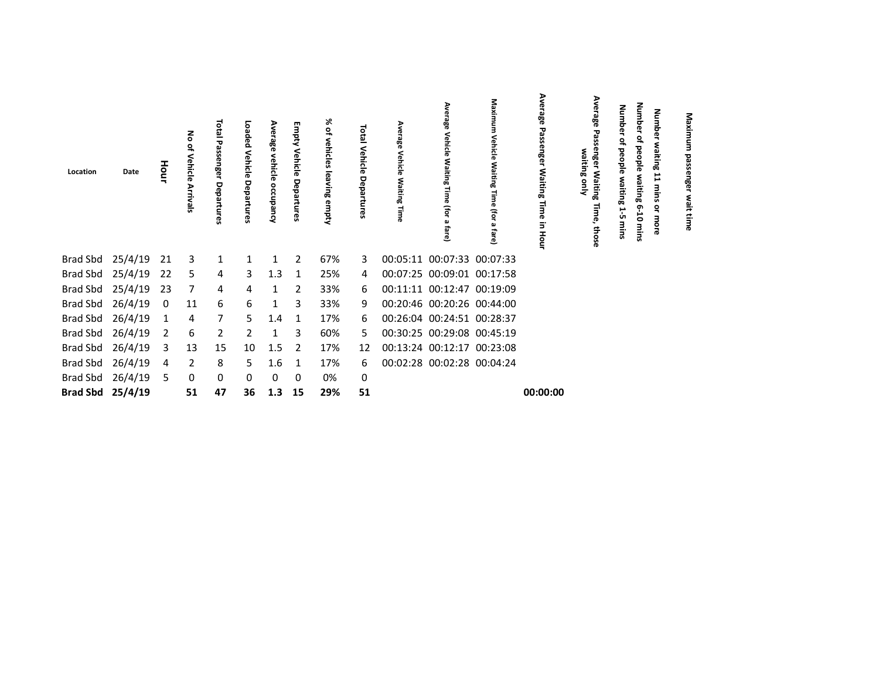| Location         | Date    | Hour | 롱<br>Vehicle<br>듮 | $\overline{\circ}$<br>ត្ន<br>ᇃ<br>assenger<br>Depa<br>ဂ္က | Loaded<br>Vehicle<br>Departu<br><b>GS</b> | Average<br>vehicle<br>occupa<br>۔<br>چ | Empty<br>∕َّe<br>릉<br>ಕ<br>Depa<br>ၛၟ | ৯ং<br>vehicles<br>leaving<br>ennpty | <b>PED</b><br>Vehicle<br>Ρe<br>partu | Average<br>Vehicle<br><b>Waiting</b> | Ave<br>rage<br>Vehicle<br><b>Waiting</b><br>Time<br>(For<br>പ<br>ವ<br>ق | Maximum<br>Vehicle<br>Waiting<br>lime<br>(for<br>fare) | Average<br>Passenger<br>Waiting<br>Time<br>in Hour | Average<br>waiting only<br>2<br>Waiting<br>ღ<br>those | Num<br>흥<br>people<br>waiting<br>Н<br>ůπ<br>mins | Num<br><u>s</u><br>beople<br>Š<br>iting<br>5<br>mins | quin<br>vaiti<br>ౚె<br>⊶<br>를<br>ū<br>۰ | Maxim<br>ᄝ<br>មិទ<br>§٤<br>time |  |
|------------------|---------|------|-------------------|-----------------------------------------------------------|-------------------------------------------|----------------------------------------|---------------------------------------|-------------------------------------|--------------------------------------|--------------------------------------|-------------------------------------------------------------------------|--------------------------------------------------------|----------------------------------------------------|-------------------------------------------------------|--------------------------------------------------|------------------------------------------------------|-----------------------------------------|---------------------------------|--|
| Brad Sbd 25/4/19 |         | 21   | - 3               | $\mathbf{1}$                                              | $\mathbf{1}$                              | $\mathbf{1}$                           | 2                                     | 67%                                 | 3                                    |                                      | 00:05:11 00:07:33 00:07:33                                              |                                                        |                                                    |                                                       |                                                  |                                                      |                                         |                                 |  |
| Brad Sbd         | 25/4/19 | 22   | 5                 | 4                                                         | 3                                         | 1.3                                    | 1                                     | 25%                                 | 4                                    |                                      | 00:07:25 00:09:01 00:17:58                                              |                                                        |                                                    |                                                       |                                                  |                                                      |                                         |                                 |  |
| Brad Sbd         | 25/4/19 | 23   | 7                 | 4                                                         | 4                                         | 1                                      | $\overline{2}$                        | 33%                                 | 6                                    |                                      | 00:11:11 00:12:47 00:19:09                                              |                                                        |                                                    |                                                       |                                                  |                                                      |                                         |                                 |  |
| <b>Brad Sbd</b>  | 26/4/19 | 0    | 11                | 6                                                         | 6                                         | 1                                      | 3                                     | 33%                                 | 9                                    |                                      | 00:20:46 00:20:26 00:44:00                                              |                                                        |                                                    |                                                       |                                                  |                                                      |                                         |                                 |  |
| <b>Brad Sbd</b>  | 26/4/19 | 1    | 4                 | 7                                                         | 5.                                        | 1.4                                    | 1                                     | 17%                                 | 6                                    |                                      | 00:26:04 00:24:51 00:28:37                                              |                                                        |                                                    |                                                       |                                                  |                                                      |                                         |                                 |  |
| <b>Brad Sbd</b>  | 26/4/19 | 2    | 6                 | 2                                                         | 2                                         | 1                                      | 3                                     | 60%                                 | 5                                    |                                      | 00:30:25 00:29:08 00:45:19                                              |                                                        |                                                    |                                                       |                                                  |                                                      |                                         |                                 |  |
| Brad Sbd         | 26/4/19 | 3    | 13                | 15                                                        | 10                                        | 1.5                                    | 2                                     | 17%                                 | 12                                   |                                      | 00:13:24 00:12:17 00:23:08                                              |                                                        |                                                    |                                                       |                                                  |                                                      |                                         |                                 |  |
| Brad Sbd         | 26/4/19 | 4    | 2                 | 8                                                         | 5.                                        | 1.6                                    | 1                                     | 17%                                 | 6                                    |                                      | 00:02:28 00:02:28 00:04:24                                              |                                                        |                                                    |                                                       |                                                  |                                                      |                                         |                                 |  |
| Brad Sbd         | 26/4/19 | 5    | 0                 | 0                                                         | 0                                         | 0                                      | $\mathbf 0$                           | 0%                                  | 0                                    |                                      |                                                                         |                                                        |                                                    |                                                       |                                                  |                                                      |                                         |                                 |  |
| Brad Sbd 25/4/19 |         |      | 51                | 47                                                        | 36                                        | 1.3                                    | 15                                    | 29%                                 | 51                                   |                                      |                                                                         |                                                        | 00:00:00                                           |                                                       |                                                  |                                                      |                                         |                                 |  |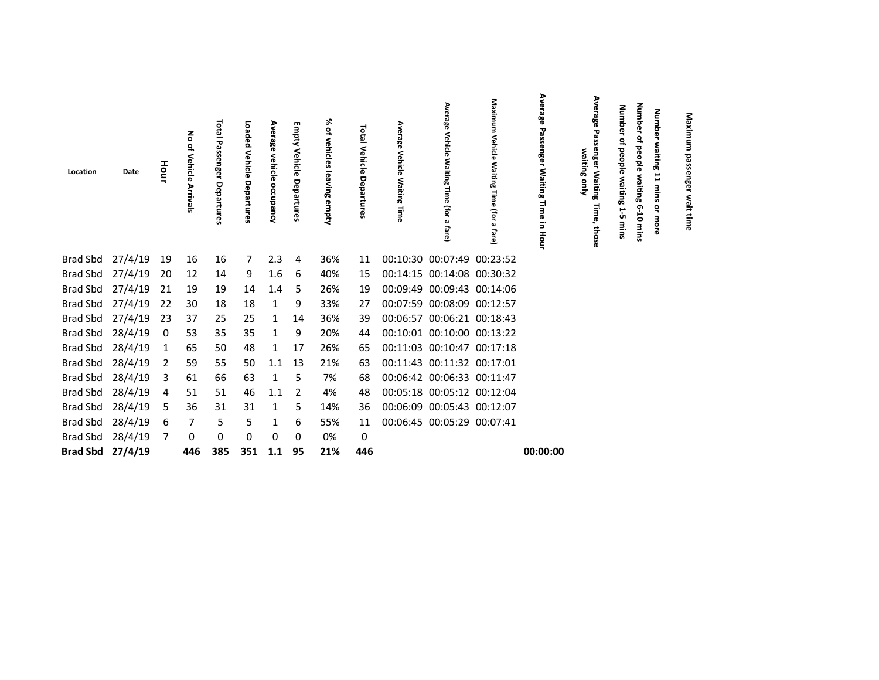| Location         | Date             | Hour           | 롱<br>읶<br>Vehicle<br><b>Arrivals</b> | Total<br>τ<br>assenger<br>Departures | Loaded<br>Vehicle<br>Departures | Average<br>vehicle<br>occupancy | Empty<br>Vehicle<br>Departures | ⋇<br>٩<br>vehicles<br>leaving empty | Total<br>Vehicle<br>Ρe<br>parture | Average<br>Vehicle<br><b>Waiting Time</b> | Average<br>Vehicle<br>Waiting<br>Time (for a<br>fare) | Maximum<br><b>Vehicle Waiting</b><br>Time<br>(for<br>മ<br>fare) | Average<br>Passenger<br><b>Waiting</b><br>Time<br>3<br>Hour | Average<br>enger<br>waiting only<br>Waiting<br>Time,<br>those | Num<br>ō<br>ወ<br>٩,<br>people<br>waiting<br>5<br>mins | Numb<br>ሟ<br>٩<br>people waiting<br>$6 - 10$<br>mins | Numbe<br>waiting<br>11<br>mins<br>٩<br>more | Maximu<br>passen<br>န္ဖ<br>wait<br>time |  |
|------------------|------------------|----------------|--------------------------------------|--------------------------------------|---------------------------------|---------------------------------|--------------------------------|-------------------------------------|-----------------------------------|-------------------------------------------|-------------------------------------------------------|-----------------------------------------------------------------|-------------------------------------------------------------|---------------------------------------------------------------|-------------------------------------------------------|------------------------------------------------------|---------------------------------------------|-----------------------------------------|--|
| Brad Sbd         | 27/4/19          | 19             | 16                                   | 16                                   | 7                               | 2.3                             | 4                              | 36%                                 | 11                                |                                           | 00:10:30 00:07:49 00:23:52                            |                                                                 |                                                             |                                                               |                                                       |                                                      |                                             |                                         |  |
|                  | Brad Sbd 27/4/19 | 20             | 12                                   | 14                                   | 9                               | 1.6                             | 6                              | 40%                                 | 15                                |                                           | 00:14:15 00:14:08 00:30:32                            |                                                                 |                                                             |                                                               |                                                       |                                                      |                                             |                                         |  |
|                  | Brad Sbd 27/4/19 | 21             | 19                                   | 19                                   | 14                              | 1.4                             | 5                              | 26%                                 | 19                                |                                           | 00:09:49 00:09:43 00:14:06                            |                                                                 |                                                             |                                                               |                                                       |                                                      |                                             |                                         |  |
|                  | Brad Sbd 27/4/19 | 22             | 30                                   | 18                                   | 18                              | $\mathbf{1}$                    | 9                              | 33%                                 | 27                                |                                           | 00:07:59 00:08:09 00:12:57                            |                                                                 |                                                             |                                                               |                                                       |                                                      |                                             |                                         |  |
|                  | Brad Sbd 27/4/19 | 23             | 37                                   | 25                                   | 25                              | $\mathbf{1}$                    | 14                             | 36%                                 | 39                                |                                           | 00:06:57 00:06:21 00:18:43                            |                                                                 |                                                             |                                                               |                                                       |                                                      |                                             |                                         |  |
| Brad Sbd         | 28/4/19          | 0              | 53                                   | 35                                   | 35                              | 1                               | 9                              | 20%                                 | 44                                |                                           | 00:10:01 00:10:00 00:13:22                            |                                                                 |                                                             |                                                               |                                                       |                                                      |                                             |                                         |  |
| <b>Brad Sbd</b>  | 28/4/19          | 1              | 65                                   | 50                                   | 48                              | $\mathbf{1}$                    | 17                             | 26%                                 | 65                                |                                           | 00:11:03 00:10:47 00:17:18                            |                                                                 |                                                             |                                                               |                                                       |                                                      |                                             |                                         |  |
| Brad Sbd         | 28/4/19          | 2              | 59                                   | 55                                   | 50                              | 1.1                             | 13                             | 21%                                 | 63                                |                                           | 00:11:43 00:11:32 00:17:01                            |                                                                 |                                                             |                                                               |                                                       |                                                      |                                             |                                         |  |
| Brad Sbd 28/4/19 |                  | 3              | 61                                   | 66                                   | 63                              | 1                               | 5                              | 7%                                  | 68                                |                                           | 00:06:42 00:06:33 00:11:47                            |                                                                 |                                                             |                                                               |                                                       |                                                      |                                             |                                         |  |
| <b>Brad Sbd</b>  | 28/4/19          | 4              | 51                                   | 51                                   | 46                              | 1.1                             | 2                              | 4%                                  | 48                                |                                           | 00:05:18 00:05:12 00:12:04                            |                                                                 |                                                             |                                                               |                                                       |                                                      |                                             |                                         |  |
| Brad Sbd         | 28/4/19          | 5              | 36                                   | 31                                   | 31                              | 1                               | 5                              | 14%                                 | 36                                |                                           | 00:06:09 00:05:43 00:12:07                            |                                                                 |                                                             |                                                               |                                                       |                                                      |                                             |                                         |  |
|                  | Brad Sbd 28/4/19 | 6              | 7                                    | 5                                    | 5.                              | 1                               | 6                              | 55%                                 | 11                                |                                           | 00:06:45 00:05:29 00:07:41                            |                                                                 |                                                             |                                                               |                                                       |                                                      |                                             |                                         |  |
| Brad Sbd 28/4/19 |                  | $\overline{7}$ | 0                                    | 0                                    | 0                               | 0                               | 0                              | 0%                                  | 0                                 |                                           |                                                       |                                                                 |                                                             |                                                               |                                                       |                                                      |                                             |                                         |  |
| Brad Sbd 27/4/19 |                  |                | 446                                  | 385                                  | 351                             | 1.1                             | 95                             | 21%                                 | 446                               |                                           |                                                       |                                                                 | 00:00:00                                                    |                                                               |                                                       |                                                      |                                             |                                         |  |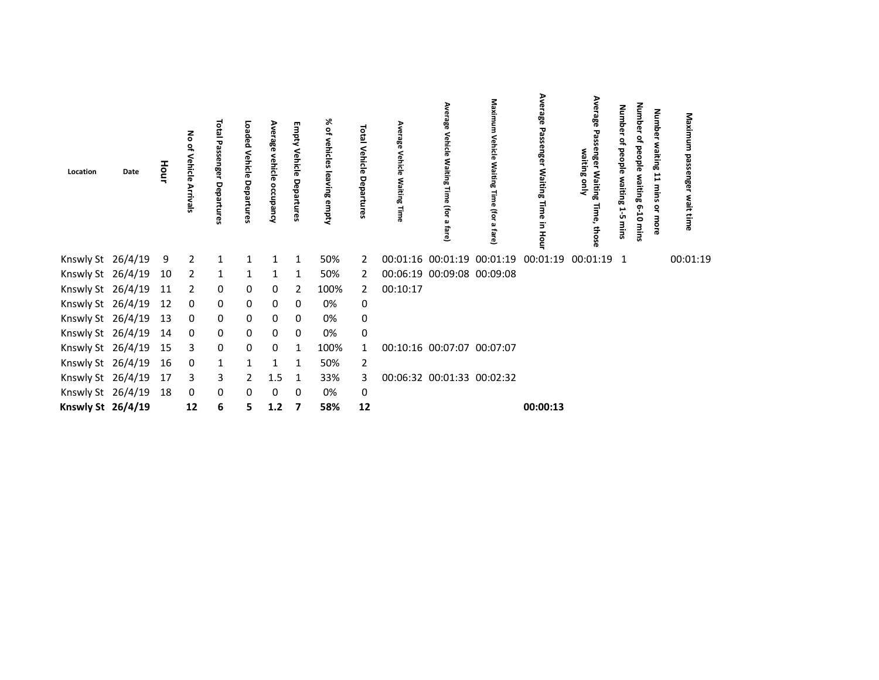| Location             | Date | Hour | hide           | <b>Total</b><br>Passenger<br>Depa | Loaded<br>Vehicle<br>Departures | rage<br>vehicle<br>ccupancy | <b>Empty Vehicle Departures</b> | % of<br>vehicles leaving empty | Total Vehicle<br>Depa<br>rtures | Average<br>Vehicle<br>Waiting Time | Vehicle<br>Waiting<br>(for<br>ڡ | Maximum<br>Vehicle<br>Waiting<br>ifor a<br>Tare) | Average Passenger Waiting Time in Hour | န္က<br>waiting only<br>er Waiting<br>Time, thos | Number<br>people<br>waiting<br>ůπ | Number<br>people<br>waiting 6-<br>Ġ<br>mins | Numbe<br>waiting<br>more | Maxim<br>nge<br>wait time |  |
|----------------------|------|------|----------------|-----------------------------------|---------------------------------|-----------------------------|---------------------------------|--------------------------------|---------------------------------|------------------------------------|---------------------------------|--------------------------------------------------|----------------------------------------|-------------------------------------------------|-----------------------------------|---------------------------------------------|--------------------------|---------------------------|--|
| Knswly St 26/4/19 9  |      |      | $\overline{2}$ | $\overline{1}$                    | $\mathbf{1}$                    | 1                           | 1                               | 50%                            | 2                               |                                    | 00:01:16 00:01:19 00:01:19      |                                                  | 00:01:19                               | 00:01:19                                        | 1                                 |                                             |                          | 00:01:19                  |  |
| Knswly St 26/4/19    |      | 10   | $\overline{2}$ | $\mathbf{1}$                      | $\mathbf{1}$                    | 1                           | 1                               | 50%                            | $\mathbf{2}$                    |                                    | 00:06:19 00:09:08 00:09:08      |                                                  |                                        |                                                 |                                   |                                             |                          |                           |  |
| Knswly St 26/4/19 11 |      |      | $\overline{2}$ | 0                                 | 0                               | 0                           | 2                               | 100%                           | $\mathbf{2}$                    | 00:10:17                           |                                 |                                                  |                                        |                                                 |                                   |                                             |                          |                           |  |
| Knswly St 26/4/19    |      | 12   | $\mathbf 0$    | 0                                 | 0                               | 0                           | 0                               | 0%                             | 0                               |                                    |                                 |                                                  |                                        |                                                 |                                   |                                             |                          |                           |  |
| Knswly St 26/4/19    |      | 13   | $\mathbf 0$    | 0                                 | 0                               | 0                           | 0                               | 0%                             | $\mathsf 0$                     |                                    |                                 |                                                  |                                        |                                                 |                                   |                                             |                          |                           |  |
| Knswly St 26/4/19 14 |      |      | $\mathbf 0$    | 0                                 | 0                               | 0                           | 0                               | 0%                             | 0                               |                                    |                                 |                                                  |                                        |                                                 |                                   |                                             |                          |                           |  |
| Knswly St 26/4/19 15 |      |      | 3              | 0                                 | 0                               | 0                           | $\mathbf{1}$                    | 100%                           | $\mathbf{1}$                    |                                    | 00:10:16 00:07:07 00:07:07      |                                                  |                                        |                                                 |                                   |                                             |                          |                           |  |
| Knswly St 26/4/19    |      | 16   | 0              | $\mathbf{1}$                      |                                 | 1                           | 1                               | 50%                            | 2                               |                                    |                                 |                                                  |                                        |                                                 |                                   |                                             |                          |                           |  |
| Knswly St 26/4/19 17 |      |      | 3              | 3                                 | 2                               | 1.5                         | 1                               | 33%                            | 3                               |                                    | 00:06:32 00:01:33 00:02:32      |                                                  |                                        |                                                 |                                   |                                             |                          |                           |  |
| Knswly St 26/4/19    |      | 18   | $\mathbf 0$    | 0                                 | 0                               | 0                           | 0                               | 0%                             | 0                               |                                    |                                 |                                                  |                                        |                                                 |                                   |                                             |                          |                           |  |
| Knswly St 26/4/19    |      |      | 12             | 6                                 | 5                               | 1.2                         | 7                               | 58%                            | 12                              |                                    |                                 |                                                  | 00:00:13                               |                                                 |                                   |                                             |                          |                           |  |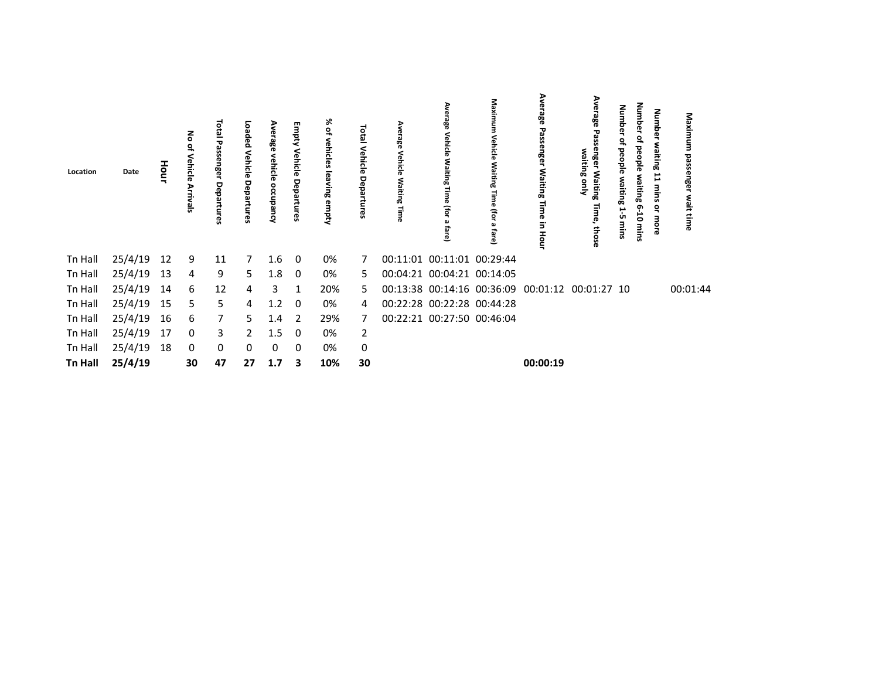| Location       | Date    |    | Vehicle<br>Arrivals | <b>Total</b><br>ទី<br>ၛၟ | Loaded<br>Vehicle<br>Depal<br>က္တ | Average<br>vehicle<br>occupancy | Empty<br>Vehicle<br>Departures | % of<br>vehicles leaving empty | otal Vehicle<br>Departures | ఇ | hicle<br>Fo<br>흐           | Maximum<br>Vehicle<br>Waiting<br>Time<br>(for a<br>fare) | ठ∕<br>≷<br>ၜၜ<br>Passenger<br>Waiting<br>Time<br>3.<br>Hour | ξ<br>98<br>waiting only<br>Waiting<br>æ<br>those | Mum<br>음<br>į<br>ÜΠ | Number<br>٩<br>people<br>waiting<br>$6 - 10$<br>mins | Number<br>waiting<br>Ë<br>mins<br>٩<br>more | Maxin<br>₹<br>ងី<br>wait time |
|----------------|---------|----|---------------------|--------------------------|-----------------------------------|---------------------------------|--------------------------------|--------------------------------|----------------------------|---|----------------------------|----------------------------------------------------------|-------------------------------------------------------------|--------------------------------------------------|---------------------|------------------------------------------------------|---------------------------------------------|-------------------------------|
| Tn Hall        | 25/4/19 | 12 | 9                   | 11                       | 7                                 | 1.6                             | - 0                            | 0%                             | 7                          |   | 00:11:01 00:11:01 00:29:44 |                                                          |                                                             |                                                  |                     |                                                      |                                             |                               |
| Tn Hall        | 25/4/19 | 13 | 4                   | 9                        | 5.                                | 1.8                             | $\overline{0}$                 | 0%                             | 5.                         |   | 00:04:21 00:04:21 00:14:05 |                                                          |                                                             |                                                  |                     |                                                      |                                             |                               |
| Tn Hall        | 25/4/19 | 14 | 6                   | 12                       | 4                                 | 3                               | 1                              | 20%                            | 5.                         |   |                            |                                                          | 00:13:38 00:14:16 00:36:09 00:01:12 00:01:27 10             |                                                  |                     |                                                      |                                             | 00:01:44                      |
| Tn Hall        | 25/4/19 | 15 | 5                   | 5                        | 4                                 | $1.2 \quad 0$                   |                                | 0%                             | 4                          |   | 00:22:28 00:22:28 00:44:28 |                                                          |                                                             |                                                  |                     |                                                      |                                             |                               |
| Tn Hall        | 25/4/19 | 16 | 6                   | 7                        | 5.                                | 1.4                             | $\overline{2}$                 | 29%                            | 7                          |   | 00:22:21 00:27:50 00:46:04 |                                                          |                                                             |                                                  |                     |                                                      |                                             |                               |
| Tn Hall        | 25/4/19 | 17 | 0                   | 3                        | 2                                 | 1.5                             | - 0                            | 0%                             | 2                          |   |                            |                                                          |                                                             |                                                  |                     |                                                      |                                             |                               |
| Tn Hall        | 25/4/19 | 18 | 0                   | 0                        | 0                                 | 0                               | $\Omega$                       | 0%                             | 0                          |   |                            |                                                          |                                                             |                                                  |                     |                                                      |                                             |                               |
| <b>Tn Hall</b> | 25/4/19 |    | 30                  | 47                       | 27                                | 1.7                             | 3                              | 10%                            | 30                         |   |                            |                                                          | 00:00:19                                                    |                                                  |                     |                                                      |                                             |                               |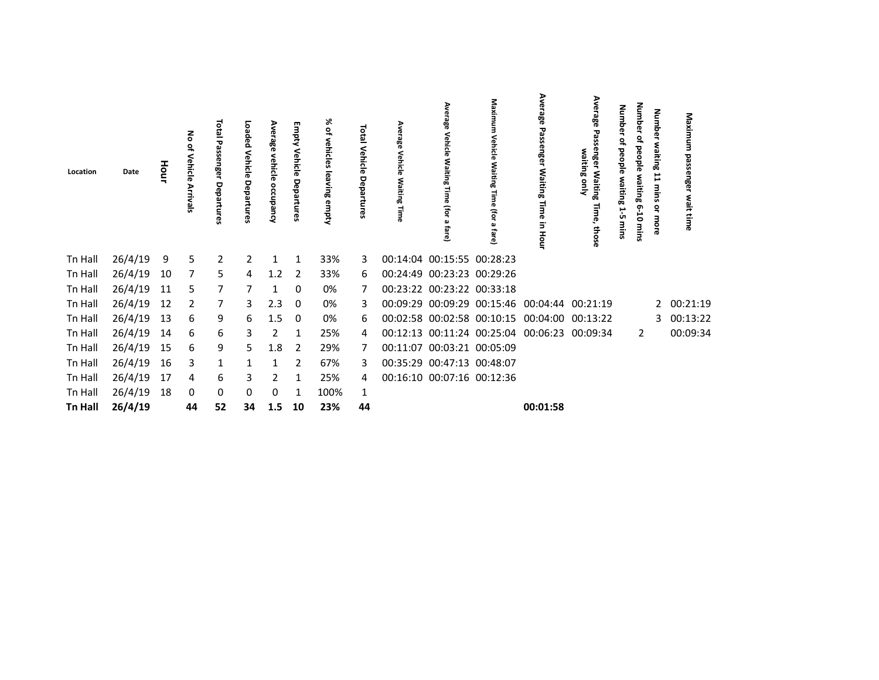| Location       | Date    | Hour | 종<br>Vehicle<br>Arrivals | <b>Total Passenger</b><br>Departul<br>œ, | Loaded<br>Vehicle<br>Departures | Average<br>vehicle<br>occupancy | Empty<br>Vehicle<br>Departures | % of<br>vehicles leaving empty | <b>Total</b><br>Vehicle<br>Departures | rage<br>Time | rage<br>Vehicle<br>Waiting<br>(for a<br>fare) | Maximum<br>Vehicle Waiting Time (for a<br>fare) | Average<br>Passenger Waiting Time<br>in Hour | Average<br>S<br>enger Waiting<br>waiting only<br>Time,<br>those | Numbe<br>ಇ<br><u>ig</u><br>waiting<br>ůπ | Number<br>٩,<br>people waiting 6-10<br>mins | Number<br>waiting<br>11<br>mins<br>ă<br>more | Maximum<br>passenger<br>wait time |
|----------------|---------|------|--------------------------|------------------------------------------|---------------------------------|---------------------------------|--------------------------------|--------------------------------|---------------------------------------|--------------|-----------------------------------------------|-------------------------------------------------|----------------------------------------------|-----------------------------------------------------------------|------------------------------------------|---------------------------------------------|----------------------------------------------|-----------------------------------|
| Tn Hall        | 26/4/19 | 9    | 5                        | $\overline{2}$                           | 2                               | 1                               | 1                              | 33%                            | 3                                     |              | 00:14:04 00:15:55 00:28:23                    |                                                 |                                              |                                                                 |                                          |                                             |                                              |                                   |
| Tn Hall        | 26/4/19 | 10   | 7                        | 5                                        | 4                               | 1.2                             | 2                              | 33%                            | 6                                     |              | 00:24:49 00:23:23 00:29:26                    |                                                 |                                              |                                                                 |                                          |                                             |                                              |                                   |
| Tn Hall        | 26/4/19 | 11   | 5.                       | 7                                        |                                 |                                 | 0                              | 0%                             |                                       |              | 00:23:22 00:23:22 00:33:18                    |                                                 |                                              |                                                                 |                                          |                                             |                                              |                                   |
| Tn Hall        | 26/4/19 | 12   | $\overline{2}$           | 7                                        | 3                               | 2.3                             | 0                              | 0%                             | 3                                     |              |                                               |                                                 | 00:09:29 00:09:29 00:15:46 00:04:44 00:21:19 |                                                                 |                                          |                                             | 2                                            | 00:21:19                          |
| Tn Hall        | 26/4/19 | 13   | 6                        | 9                                        | 6                               | 1.5                             | 0                              | 0%                             | 6                                     |              |                                               |                                                 | 00:02:58 00:02:58 00:10:15 00:04:00 00:13:22 |                                                                 |                                          |                                             | 3                                            | 00:13:22                          |
| Tn Hall        | 26/4/19 | 14   | 6                        | 6                                        | 3                               | 2                               | 1                              | 25%                            | 4                                     |              |                                               |                                                 | 00:12:13 00:11:24 00:25:04 00:06:23 00:09:34 |                                                                 |                                          | 2                                           |                                              | 00:09:34                          |
| Tn Hall        | 26/4/19 | 15   | 6                        | 9                                        | 5.                              | 1.8                             | -2                             | 29%                            |                                       |              | 00:11:07 00:03:21 00:05:09                    |                                                 |                                              |                                                                 |                                          |                                             |                                              |                                   |
| Tn Hall        | 26/4/19 | 16   | 3                        | 1                                        | 1                               |                                 | 2                              | 67%                            | 3                                     |              | 00:35:29 00:47:13 00:48:07                    |                                                 |                                              |                                                                 |                                          |                                             |                                              |                                   |
| Tn Hall        | 26/4/19 | 17   | 4                        | 6                                        | 3                               | 2                               | -1                             | 25%                            | 4                                     |              | 00:16:10 00:07:16 00:12:36                    |                                                 |                                              |                                                                 |                                          |                                             |                                              |                                   |
| Tn Hall        | 26/4/19 | 18   | 0                        | 0                                        | 0                               | 0                               | -1                             | 100%                           | 1                                     |              |                                               |                                                 |                                              |                                                                 |                                          |                                             |                                              |                                   |
| <b>Tn Hall</b> | 26/4/19 |      | 44                       | 52                                       | 34                              | 1.5                             | 10                             | 23%                            | 44                                    |              |                                               |                                                 | 00:01:58                                     |                                                                 |                                          |                                             |                                              |                                   |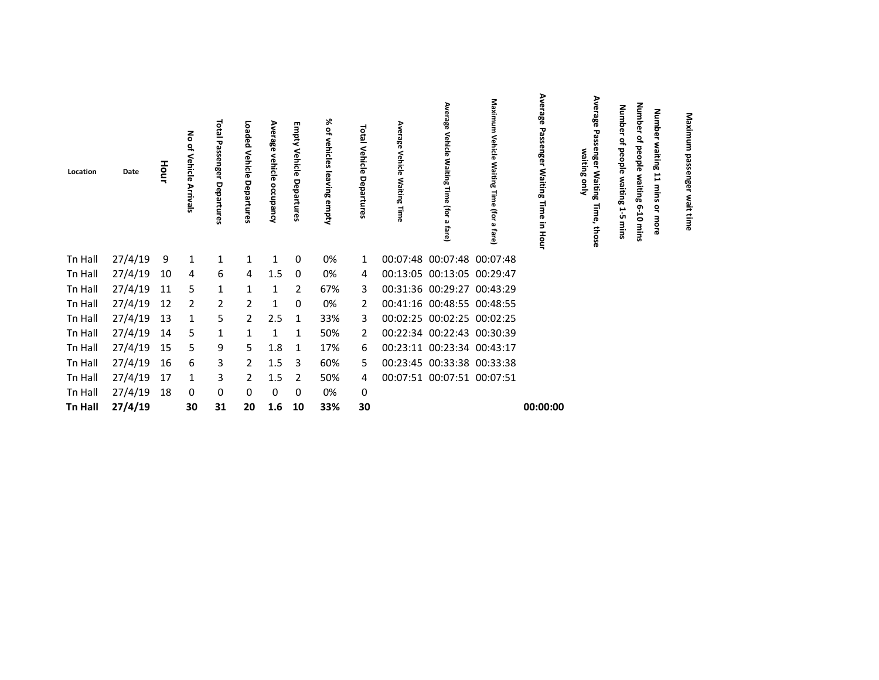| Location       | Date    | Hour | る<br>$\tilde{\sigma}$<br>Vehicle<br>Arriva | <b>Tota</b><br><b>ح</b><br>ន្ល<br>enger<br>Depa | Loaded<br>Vehicle<br>Departures | Ave<br>rage<br>ehicle<br>ccupa<br>흥 | Empty<br>Vehicle Departures | 没<br>읶<br>vehicles<br>leaving<br>empty | <b>Total</b><br>Vehicle<br>Departur<br>ၛၟ | Average<br>Vehicle<br>Waiting Time | Ave<br>ä<br><b>Vehicle Waiting</b><br>(for<br>fare) | Maximum<br>Vehicle<br>Waiting Time (for a<br>fare) | Average Passenger Waiting Time in Hour | Ave<br>န္က<br>enge<br>waiting only<br>r Waiting<br>Time, those | Numb<br>ዊ<br>ఇ<br>beople<br>waiting<br>15<br>mins | Number<br>₽<br>beople<br>waiting<br>$6 - 10$<br>mins | <b>Number</b><br>waiting<br>Ë<br>mins<br>$\vec{\mathsf{s}}$<br>more | Maximu<br>정<br>S<br>engel<br>wait time |  |
|----------------|---------|------|--------------------------------------------|-------------------------------------------------|---------------------------------|-------------------------------------|-----------------------------|----------------------------------------|-------------------------------------------|------------------------------------|-----------------------------------------------------|----------------------------------------------------|----------------------------------------|----------------------------------------------------------------|---------------------------------------------------|------------------------------------------------------|---------------------------------------------------------------------|----------------------------------------|--|
| Tn Hall        | 27/4/19 | 9    | $\mathbf{1}$                               | $\mathbf{1}$                                    | 1                               | 1                                   | 0                           | 0%                                     | 1                                         |                                    | 00:07:48 00:07:48 00:07:48                          |                                                    |                                        |                                                                |                                                   |                                                      |                                                                     |                                        |  |
| Tn Hall        | 27/4/19 | 10   | 4                                          | 6                                               | 4                               | 1.5                                 | 0                           | 0%                                     | 4                                         |                                    | 00:13:05 00:13:05 00:29:47                          |                                                    |                                        |                                                                |                                                   |                                                      |                                                                     |                                        |  |
| Tn Hall        | 27/4/19 | 11   | 5.                                         | $\mathbf{1}$                                    |                                 | 1                                   | 2                           | 67%                                    | 3                                         |                                    | 00:31:36 00:29:27 00:43:29                          |                                                    |                                        |                                                                |                                                   |                                                      |                                                                     |                                        |  |
| Tn Hall        | 27/4/19 | 12   | $\overline{2}$                             | 2                                               | 2                               | 1                                   | 0                           | 0%                                     | 2                                         |                                    | 00:41:16 00:48:55 00:48:55                          |                                                    |                                        |                                                                |                                                   |                                                      |                                                                     |                                        |  |
| Tn Hall        | 27/4/19 | 13   | 1                                          | 5                                               | 2                               | 2.5                                 | 1                           | 33%                                    | 3                                         |                                    | 00:02:25 00:02:25 00:02:25                          |                                                    |                                        |                                                                |                                                   |                                                      |                                                                     |                                        |  |
| Tn Hall        | 27/4/19 | 14   | 5                                          | 1                                               |                                 |                                     | 1                           | 50%                                    | 2                                         |                                    | 00:22:34 00:22:43 00:30:39                          |                                                    |                                        |                                                                |                                                   |                                                      |                                                                     |                                        |  |
| Tn Hall        | 27/4/19 | 15   | 5.                                         | 9                                               | 5                               | 1.8                                 | 1                           | 17%                                    | 6                                         |                                    | 00:23:11 00:23:34 00:43:17                          |                                                    |                                        |                                                                |                                                   |                                                      |                                                                     |                                        |  |
| Tn Hall        | 27/4/19 | 16   | 6                                          | 3                                               | 2                               | 1.5                                 | 3                           | 60%                                    | 5.                                        |                                    | 00:23:45 00:33:38 00:33:38                          |                                                    |                                        |                                                                |                                                   |                                                      |                                                                     |                                        |  |
| Tn Hall        | 27/4/19 | 17   | 1                                          | 3                                               | 2                               | 1.5                                 | 2                           | 50%                                    | 4                                         |                                    | 00:07:51 00:07:51 00:07:51                          |                                                    |                                        |                                                                |                                                   |                                                      |                                                                     |                                        |  |
| Tn Hall        | 27/4/19 | 18   | 0                                          | 0                                               | 0                               | 0                                   | 0                           | 0%                                     | 0                                         |                                    |                                                     |                                                    |                                        |                                                                |                                                   |                                                      |                                                                     |                                        |  |
| <b>Tn Hall</b> | 27/4/19 |      | 30                                         | 31                                              | 20                              | 1.6                                 | 10                          | 33%                                    | 30                                        |                                    |                                                     |                                                    | 00:00:00                               |                                                                |                                                   |                                                      |                                                                     |                                        |  |